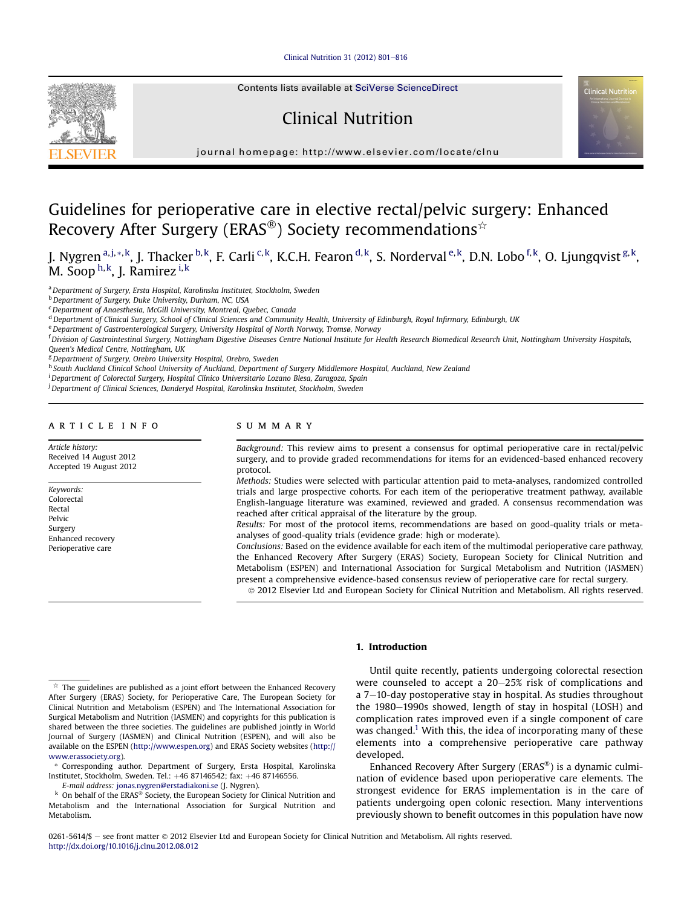## Clinical Nutrition 31 (2012)  $801-816$  $801-816$



# Clinical Nutrition



journal homepage:<http://www.elsevier.com/locate/clnu>

# Guidelines for perioperative care in elective rectal/pelvic surgery: Enhanced Recovery After Surgery (ERAS<sup>®</sup>) Society recommendations<sup>\*</sup>

J. Nygren <sup>a,j,</sup>\*,<sup>k</sup>, J. Thacker <sup>b,k</sup>, F. Carli <sup>c,k</sup>, K.C.H. Fearon <sup>d,k</sup>, S. Norderval <sup>e,k</sup>, D.N. Lobo <sup>f,k</sup>, O. Ljungqvist <sup>g,k</sup>, M. Soop <sup>h, k</sup>, J. Ramirez <sup>i, k</sup>

a Department of Surgery, Ersta Hospital, Karolinska Institutet, Stockholm, Sweden

<sup>b</sup> Department of Surgery, Duke University, Durham, NC, USA

<sup>c</sup> Department of Anaesthesia, McGill University, Montreal, Quebec, Canada

<sup>d</sup> Department of Clinical Surgery, School of Clinical Sciences and Community Health, University of Edinburgh, Royal Infirmary, Edinburgh, UK

e Department of Gastroenterological Surgery, University Hospital of North Norway, Tromsø, Norway

<sup>f</sup> Division of Gastrointestinal Surgery, Nottingham Digestive Diseases Centre National Institute for Health Research Biomedical Research Unit, Nottingham University Hospitals, Queen's Medical Centre, Nottingham, UK

<sup>g</sup> Department of Surgery, Orebro University Hospital, Orebro, Sweden

h South Auckland Clinical School University of Auckland, Department of Surgery Middlemore Hospital, Auckland, New Zealand

<sup>i</sup> Department of Colorectal Surgery, Hospital Clínico Universitario Lozano Blesa, Zaragoza, Spain

<sup>j</sup> Department of Clinical Sciences, Danderyd Hospital, Karolinska Institutet, Stockholm, Sweden

## article info

Article history: Received 14 August 2012 Accepted 19 August 2012

Keywords: Colorectal Rectal Pelvic Surgery Enhanced recovery Perioperative care

## summary

Background: This review aims to present a consensus for optimal perioperative care in rectal/pelvic surgery, and to provide graded recommendations for items for an evidenced-based enhanced recovery protocol.

Methods: Studies were selected with particular attention paid to meta-analyses, randomized controlled trials and large prospective cohorts. For each item of the perioperative treatment pathway, available English-language literature was examined, reviewed and graded. A consensus recommendation was reached after critical appraisal of the literature by the group.

Results: For most of the protocol items, recommendations are based on good-quality trials or metaanalyses of good-quality trials (evidence grade: high or moderate).

Conclusions: Based on the evidence available for each item of the multimodal perioperative care pathway, the Enhanced Recovery After Surgery (ERAS) Society, European Society for Clinical Nutrition and Metabolism (ESPEN) and International Association for Surgical Metabolism and Nutrition (IASMEN) present a comprehensive evidence-based consensus review of perioperative care for rectal surgery.

2012 Elsevier Ltd and European Society for Clinical Nutrition and Metabolism. All rights reserved.

## $\dot{\mathbb{X}}$  The guidelines are published as a joint effort between the Enhanced Recovery After Surgery (ERAS) Society, for Perioperative Care, The European Society for Clinical Nutrition and Metabolism (ESPEN) and The International Association for Surgical Metabolism and Nutrition (IASMEN) and copyrights for this publication is shared between the three societies. The guidelines are published jointly in World Journal of Surgery (IASMEN) and Clinical Nutrition (ESPEN), and will also be available on the ESPEN ([http://www.espen.org\)](http://www.espen.org/) and ERAS Society websites ([http://](http://www.erassociety.org/) [www.erassociety.org\)](http://www.erassociety.org/).

\* Corresponding author. Department of Surgery, Ersta Hospital, Karolinska Institutet, Stockholm, Sweden. Tel.: +46 87146542; fax: +46 87146556.

E-mail address: [jonas.nygren@erstadiakoni.se](mailto:jonas.nygren@erstadiakoni.se) (J. Nygren).

On behalf of the ERAS® Society, the European Society for Clinical Nutrition and Metabolism and the International Association for Surgical Nutrition and Metabolism.

# 1. Introduction

Until quite recently, patients undergoing colorectal resection were counseled to accept a  $20-25\%$  risk of complications and  $a$  7-10-day postoperative stay in hospital. As studies throughout the 1980-1990s showed, length of stay in hospital (LOSH) and complication rates improved even if a single component of care was changed.<sup>1</sup> With this, the idea of incorporating many of these elements into a comprehensive perioperative care pathway developed.

Enhanced Recovery After Surgery (ERAS®) is a dynamic culmination of evidence based upon perioperative care elements. The strongest evidence for ERAS implementation is in the care of patients undergoing open colonic resection. Many interventions previously shown to benefit outcomes in this population have now

0261-5614/\$ - see front matter © 2012 Elsevier Ltd and European Society for Clinical Nutrition and Metabolism. All rights reserved. <http://dx.doi.org/10.1016/j.clnu.2012.08.012>

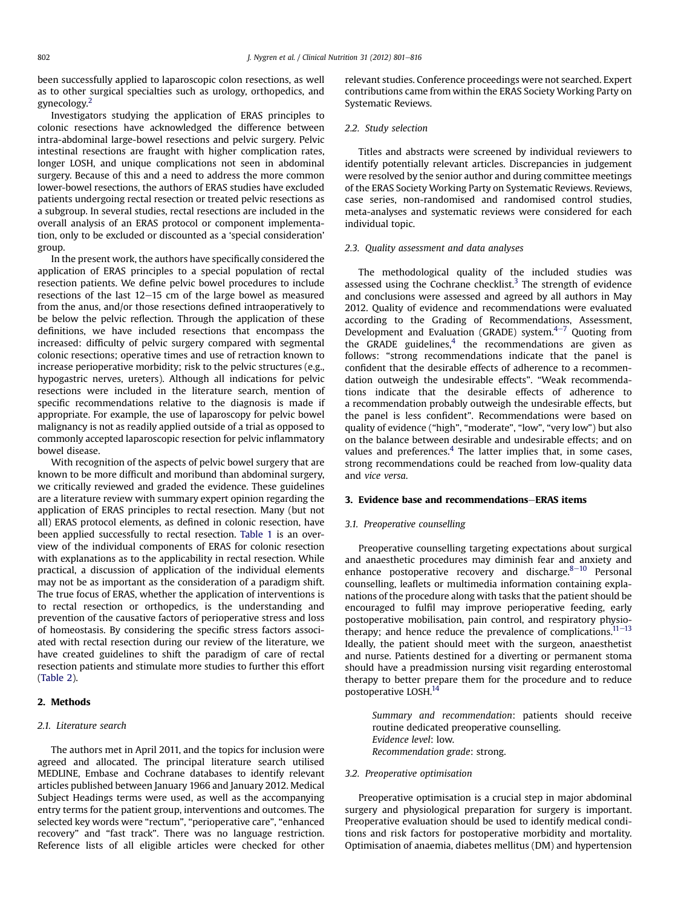<span id="page-1-0"></span>been successfully applied to laparoscopic colon resections, as well as to other surgical specialties such as urology, orthopedics, and gynecology[.2](#page-12-0)

Investigators studying the application of ERAS principles to colonic resections have acknowledged the difference between intra-abdominal large-bowel resections and pelvic surgery. Pelvic intestinal resections are fraught with higher complication rates, longer LOSH, and unique complications not seen in abdominal surgery. Because of this and a need to address the more common lower-bowel resections, the authors of ERAS studies have excluded patients undergoing rectal resection or treated pelvic resections as a subgroup. In several studies, rectal resections are included in the overall analysis of an ERAS protocol or component implementation, only to be excluded or discounted as a 'special consideration' group.

In the present work, the authors have specifically considered the application of ERAS principles to a special population of rectal resection patients. We define pelvic bowel procedures to include resections of the last  $12-15$  cm of the large bowel as measured from the anus, and/or those resections defined intraoperatively to be below the pelvic reflection. Through the application of these definitions, we have included resections that encompass the increased: difficulty of pelvic surgery compared with segmental colonic resections; operative times and use of retraction known to increase perioperative morbidity; risk to the pelvic structures (e.g., hypogastric nerves, ureters). Although all indications for pelvic resections were included in the literature search, mention of specific recommendations relative to the diagnosis is made if appropriate. For example, the use of laparoscopy for pelvic bowel malignancy is not as readily applied outside of a trial as opposed to commonly accepted laparoscopic resection for pelvic inflammatory bowel disease.

With recognition of the aspects of pelvic bowel surgery that are known to be more difficult and moribund than abdominal surgery, we critically reviewed and graded the evidence. These guidelines are a literature review with summary expert opinion regarding the application of ERAS principles to rectal resection. Many (but not all) ERAS protocol elements, as defined in colonic resection, have been applied successfully to rectal resection. [Table 1](#page-2-0) is an overview of the individual components of ERAS for colonic resection with explanations as to the applicability in rectal resection. While practical, a discussion of application of the individual elements may not be as important as the consideration of a paradigm shift. The true focus of ERAS, whether the application of interventions is to rectal resection or orthopedics, is the understanding and prevention of the causative factors of perioperative stress and loss of homeostasis. By considering the specific stress factors associated with rectal resection during our review of the literature, we have created guidelines to shift the paradigm of care of rectal resection patients and stimulate more studies to further this effort ([Table 2](#page-3-0)).

# 2. Methods

## 2.1. Literature search

The authors met in April 2011, and the topics for inclusion were agreed and allocated. The principal literature search utilised MEDLINE, Embase and Cochrane databases to identify relevant articles published between January 1966 and January 2012. Medical Subject Headings terms were used, as well as the accompanying entry terms for the patient group, interventions and outcomes. The selected key words were "rectum", "perioperative care", "enhanced recovery" and "fast track". There was no language restriction. Reference lists of all eligible articles were checked for other relevant studies. Conference proceedings were not searched. Expert contributions came from within the ERAS Society Working Party on Systematic Reviews.

# 2.2. Study selection

Titles and abstracts were screened by individual reviewers to identify potentially relevant articles. Discrepancies in judgement were resolved by the senior author and during committee meetings of the ERAS Society Working Party on Systematic Reviews. Reviews, case series, non-randomised and randomised control studies, meta-analyses and systematic reviews were considered for each individual topic.

### 2.3. Quality assessment and data analyses

The methodological quality of the included studies was assessed using the Cochrane checklist.<sup>[3](#page-12-0)</sup> The strength of evidence and conclusions were assessed and agreed by all authors in May 2012. Quality of evidence and recommendations were evaluated according to the Grading of Recommendations, Assessment, Development and Evaluation (GRADE) system. $4-7$  $4-7$  Quoting from the GRADE guidelines, $4$  the recommendations are given as follows: "strong recommendations indicate that the panel is confident that the desirable effects of adherence to a recommendation outweigh the undesirable effects". "Weak recommendations indicate that the desirable effects of adherence to a recommendation probably outweigh the undesirable effects, but the panel is less confident". Recommendations were based on quality of evidence ("high", "moderate", "low", "very low") but also on the balance between desirable and undesirable effects; and on values and preferences. $4$  The latter implies that, in some cases, strong recommendations could be reached from low-quality data and vice versa.

#### 3. Evidence base and recommendations–ERAS items

#### 3.1. Preoperative counselling

Preoperative counselling targeting expectations about surgical and anaesthetic procedures may diminish fear and anxiety and enhance postoperative recovery and discharge. $8-10$  $8-10$  Personal counselling, leaflets or multimedia information containing explanations of the procedure along with tasks that the patient should be encouraged to fulfil may improve perioperative feeding, early postoperative mobilisation, pain control, and respiratory physiotherapy; and hence reduce the prevalence of complications. $11-13$  $11-13$ Ideally, the patient should meet with the surgeon, anaesthetist and nurse. Patients destined for a diverting or permanent stoma should have a preadmission nursing visit regarding enterostomal therapy to better prepare them for the procedure and to reduce postoperative LOSH[.14](#page-12-0)

Summary and recommendation: patients should receive routine dedicated preoperative counselling. Evidence level: low. Recommendation grade: strong.

#### 3.2. Preoperative optimisation

Preoperative optimisation is a crucial step in major abdominal surgery and physiological preparation for surgery is important. Preoperative evaluation should be used to identify medical conditions and risk factors for postoperative morbidity and mortality. Optimisation of anaemia, diabetes mellitus (DM) and hypertension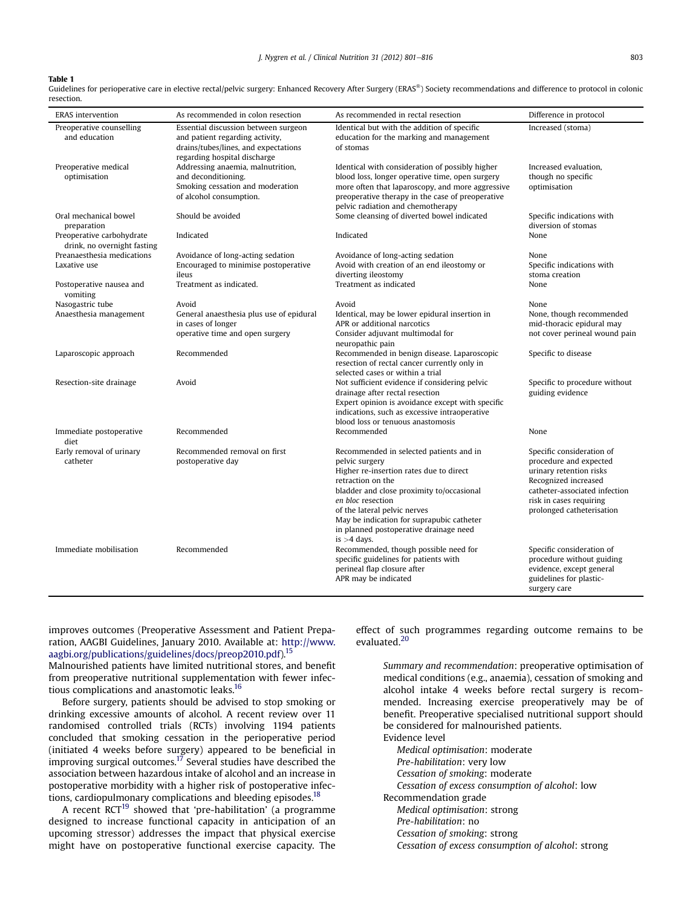#### <span id="page-2-0"></span>Table 1

Guidelines for perioperative care in elective rectal/pelvic surgery: Enhanced Recovery After Surgery (ERAS®) Society recommendations and difference to protocol in colonic resection.

| <b>ERAS</b> intervention                                 | As recommended in colon resection                                                                                                               | As recommended in rectal resection                                                                                                                                                                                                                                                                                                   | Difference in protocol                                                                                                                                                                          |
|----------------------------------------------------------|-------------------------------------------------------------------------------------------------------------------------------------------------|--------------------------------------------------------------------------------------------------------------------------------------------------------------------------------------------------------------------------------------------------------------------------------------------------------------------------------------|-------------------------------------------------------------------------------------------------------------------------------------------------------------------------------------------------|
| Preoperative counselling<br>and education                | Essential discussion between surgeon<br>and patient regarding activity,<br>drains/tubes/lines, and expectations<br>regarding hospital discharge | Identical but with the addition of specific<br>education for the marking and management<br>of stomas                                                                                                                                                                                                                                 | Increased (stoma)                                                                                                                                                                               |
| Preoperative medical<br>optimisation                     | Addressing anaemia, malnutrition,<br>and deconditioning.<br>Smoking cessation and moderation<br>of alcohol consumption.                         | Identical with consideration of possibly higher<br>blood loss, longer operative time, open surgery<br>more often that laparoscopy, and more aggressive<br>preoperative therapy in the case of preoperative<br>pelvic radiation and chemotherapy                                                                                      | Increased evaluation,<br>though no specific<br>optimisation                                                                                                                                     |
| Oral mechanical bowel<br>preparation                     | Should be avoided                                                                                                                               | Some cleansing of diverted bowel indicated                                                                                                                                                                                                                                                                                           | Specific indications with<br>diversion of stomas                                                                                                                                                |
| Preoperative carbohydrate<br>drink, no overnight fasting | Indicated                                                                                                                                       | Indicated                                                                                                                                                                                                                                                                                                                            | None                                                                                                                                                                                            |
| Preanaesthesia medications<br>Laxative use               | Avoidance of long-acting sedation<br>Encouraged to minimise postoperative<br>ileus                                                              | Avoidance of long-acting sedation<br>Avoid with creation of an end ileostomy or<br>diverting ileostomy                                                                                                                                                                                                                               | None<br>Specific indications with<br>stoma creation                                                                                                                                             |
| Postoperative nausea and<br>vomiting                     | Treatment as indicated.                                                                                                                         | Treatment as indicated                                                                                                                                                                                                                                                                                                               | None                                                                                                                                                                                            |
| Nasogastric tube                                         | Avoid                                                                                                                                           | Avoid                                                                                                                                                                                                                                                                                                                                | None                                                                                                                                                                                            |
| Anaesthesia management                                   | General anaesthesia plus use of epidural<br>in cases of longer<br>operative time and open surgery                                               | Identical, may be lower epidural insertion in<br>APR or additional narcotics<br>Consider adjuvant multimodal for<br>neuropathic pain                                                                                                                                                                                                 | None, though recommended<br>mid-thoracic epidural may<br>not cover perineal wound pain                                                                                                          |
| Laparoscopic approach                                    | Recommended                                                                                                                                     | Recommended in benign disease. Laparoscopic<br>resection of rectal cancer currently only in<br>selected cases or within a trial                                                                                                                                                                                                      | Specific to disease                                                                                                                                                                             |
| Resection-site drainage                                  | Avoid                                                                                                                                           | Not sufficient evidence if considering pelvic<br>drainage after rectal resection<br>Expert opinion is avoidance except with specific<br>indications, such as excessive intraoperative<br>blood loss or tenuous anastomosis                                                                                                           | Specific to procedure without<br>guiding evidence                                                                                                                                               |
| Immediate postoperative<br>diet                          | Recommended                                                                                                                                     | Recommended                                                                                                                                                                                                                                                                                                                          | None                                                                                                                                                                                            |
| Early removal of urinary<br>catheter                     | Recommended removal on first<br>postoperative day                                                                                               | Recommended in selected patients and in<br>pelvic surgery<br>Higher re-insertion rates due to direct<br>retraction on the<br>bladder and close proximity to/occasional<br>en bloc resection<br>of the lateral pelvic nerves<br>May be indication for suprapubic catheter<br>in planned postoperative drainage need<br>$is > 4$ days. | Specific consideration of<br>procedure and expected<br>urinary retention risks<br>Recognized increased<br>catheter-associated infection<br>risk in cases requiring<br>prolonged catheterisation |
| Immediate mobilisation                                   | Recommended                                                                                                                                     | Recommended, though possible need for<br>specific guidelines for patients with<br>perineal flap closure after<br>APR may be indicated                                                                                                                                                                                                | Specific consideration of<br>procedure without guiding<br>evidence, except general<br>guidelines for plastic-<br>surgery care                                                                   |

improves outcomes (Preoperative Assessment and Patient Preparation, AAGBI Guidelines, January 2010. Available at: [http://www.](http://www.aagbi.org/publications/guidelines/docs/preop2010.pdf) [aagbi.org/publications/guidelines/docs/preop2010.pdf](http://www.aagbi.org/publications/guidelines/docs/preop2010.pdf)).<sup>15</sup>

Malnourished patients have limited nutritional stores, and benefit from preoperative nutritional supplementation with fewer infectious complications and anastomotic leaks.<sup>16</sup>

Before surgery, patients should be advised to stop smoking or drinking excessive amounts of alcohol. A recent review over 11 randomised controlled trials (RCTs) involving 1194 patients concluded that smoking cessation in the perioperative period (initiated 4 weeks before surgery) appeared to be beneficial in improving surgical outcomes.<sup>17</sup> Several studies have described the association between hazardous intake of alcohol and an increase in postoperative morbidity with a higher risk of postoperative infections, cardiopulmonary complications and bleeding episodes. $^{18}$ 

A recent  $RCT^{19}$  $RCT^{19}$  $RCT^{19}$  showed that 'pre-habilitation' (a programme designed to increase functional capacity in anticipation of an upcoming stressor) addresses the impact that physical exercise might have on postoperative functional exercise capacity. The effect of such programmes regarding outcome remains to be evaluated.[20](#page-13-0)

Summary and recommendation: preoperative optimisation of medical conditions (e.g., anaemia), cessation of smoking and alcohol intake 4 weeks before rectal surgery is recommended. Increasing exercise preoperatively may be of benefit. Preoperative specialised nutritional support should be considered for malnourished patients. Evidence level

Medical optimisation: moderate Pre-habilitation: very low Cessation of smoking: moderate Cessation of excess consumption of alcohol: low Recommendation grade Medical optimisation: strong Pre-habilitation: no Cessation of smoking: strong Cessation of excess consumption of alcohol: strong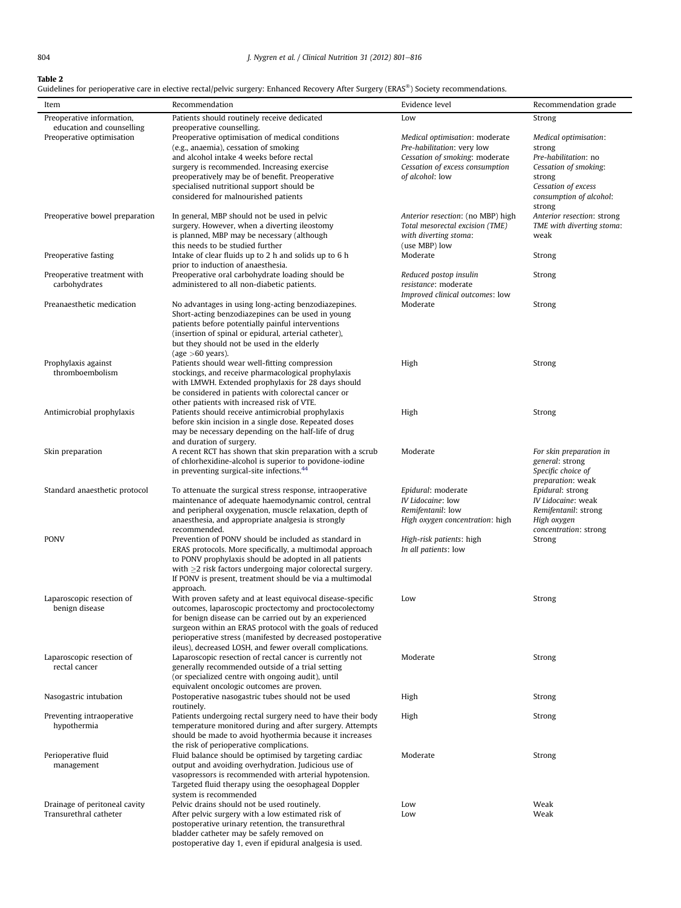<span id="page-3-0"></span>

# Table 2

Guidelines for perioperative care in elective rectal/pelvic surgery: Enhanced Recovery After Surgery (ERAS®) Society recommendations.

| Item                           | Recommendation                                                                                                          | Evidence level                                               | Recommendation grade                         |
|--------------------------------|-------------------------------------------------------------------------------------------------------------------------|--------------------------------------------------------------|----------------------------------------------|
| Preoperative information,      | Patients should routinely receive dedicated                                                                             | Low                                                          | Strong                                       |
| education and counselling      | preoperative counselling.                                                                                               |                                                              |                                              |
| Preoperative optimisation      | Preoperative optimisation of medical conditions                                                                         | Medical optimisation: moderate                               | Medical optimisation:                        |
|                                | (e.g., anaemia), cessation of smoking<br>and alcohol intake 4 weeks before rectal                                       | Pre-habilitation: very low<br>Cessation of smoking: moderate | strong<br>Pre-habilitation: no               |
|                                | surgery is recommended. Increasing exercise                                                                             | Cessation of excess consumption                              | Cessation of smoking:                        |
|                                | preoperatively may be of benefit. Preoperative                                                                          | of alcohol: low                                              | strong                                       |
|                                | specialised nutritional support should be                                                                               |                                                              | Cessation of excess                          |
|                                | considered for malnourished patients                                                                                    |                                                              | consumption of alcohol:                      |
| Preoperative bowel preparation | In general, MBP should not be used in pelvic                                                                            | Anterior resection: (no MBP) high                            | strong<br>Anterior resection: strong         |
|                                | surgery. However, when a diverting ileostomy                                                                            | Total mesorectal excision (TME)                              | TME with diverting stoma:                    |
|                                | is planned, MBP may be necessary (although                                                                              | with diverting stoma:                                        | weak                                         |
|                                | this needs to be studied further                                                                                        | (use MBP) low                                                |                                              |
| Preoperative fasting           | Intake of clear fluids up to 2 h and solids up to 6 h<br>prior to induction of anaesthesia.                             | Moderate                                                     | Strong                                       |
| Preoperative treatment with    | Preoperative oral carbohydrate loading should be                                                                        | Reduced postop insulin                                       | Strong                                       |
| carbohydrates                  | administered to all non-diabetic patients.                                                                              | resistance: moderate                                         |                                              |
|                                |                                                                                                                         | Improved clinical outcomes: low                              |                                              |
| Preanaesthetic medication      | No advantages in using long-acting benzodiazepines.                                                                     | Moderate                                                     | Strong                                       |
|                                | Short-acting benzodiazepines can be used in young<br>patients before potentially painful interventions                  |                                                              |                                              |
|                                | (insertion of spinal or epidural, arterial catheter),                                                                   |                                                              |                                              |
|                                | but they should not be used in the elderly                                                                              |                                                              |                                              |
|                                | (age $>60$ years).                                                                                                      |                                                              |                                              |
| Prophylaxis against            | Patients should wear well-fitting compression                                                                           | High                                                         | Strong                                       |
| thromboembolism                | stockings, and receive pharmacological prophylaxis<br>with LMWH. Extended prophylaxis for 28 days should                |                                                              |                                              |
|                                | be considered in patients with colorectal cancer or                                                                     |                                                              |                                              |
|                                | other patients with increased risk of VTE.                                                                              |                                                              |                                              |
| Antimicrobial prophylaxis      | Patients should receive antimicrobial prophylaxis                                                                       | High                                                         | Strong                                       |
|                                | before skin incision in a single dose. Repeated doses<br>may be necessary depending on the half-life of drug            |                                                              |                                              |
|                                | and duration of surgery.                                                                                                |                                                              |                                              |
| Skin preparation               | A recent RCT has shown that skin preparation with a scrub                                                               | Moderate                                                     | For skin preparation in                      |
|                                | of chlorhexidine-alcohol is superior to povidone-iodine                                                                 |                                                              | general: strong                              |
|                                | in preventing surgical-site infections. <sup>44</sup>                                                                   |                                                              | Specific choice of                           |
| Standard anaesthetic protocol  | To attenuate the surgical stress response, intraoperative                                                               | Epidural: moderate                                           | <i>preparation:</i> weak<br>Epidural: strong |
|                                | maintenance of adequate haemodynamic control, central                                                                   | IV Lidocaine: low                                            | IV Lidocaine: weak                           |
|                                | and peripheral oxygenation, muscle relaxation, depth of                                                                 | Remifentanil: low                                            | Remifentanil: strong                         |
|                                | anaesthesia, and appropriate analgesia is strongly                                                                      | High oxygen concentration: high                              | High oxygen                                  |
| <b>PONV</b>                    | recommended.<br>Prevention of PONV should be included as standard in                                                    | High-risk patients: high                                     | concentration: strong<br>Strong              |
|                                | ERAS protocols. More specifically, a multimodal approach                                                                | In all patients: low                                         |                                              |
|                                | to PONV prophylaxis should be adopted in all patients                                                                   |                                                              |                                              |
|                                | with $\geq$ 2 risk factors undergoing major colorectal surgery.                                                         |                                                              |                                              |
|                                | If PONV is present, treatment should be via a multimodal<br>approach.                                                   |                                                              |                                              |
| Laparoscopic resection of      | With proven safety and at least equivocal disease-specific                                                              | Low                                                          | Strong                                       |
| benign disease                 | outcomes, laparoscopic proctectomy and proctocolectomy                                                                  |                                                              |                                              |
|                                | for benign disease can be carried out by an experienced                                                                 |                                                              |                                              |
|                                | surgeon within an ERAS protocol with the goals of reduced                                                               |                                                              |                                              |
|                                | perioperative stress (manifested by decreased postoperative<br>ileus), decreased LOSH, and fewer overall complications. |                                                              |                                              |
| Laparoscopic resection of      | Laparoscopic resection of rectal cancer is currently not                                                                | Moderate                                                     | Strong                                       |
| rectal cancer                  | generally recommended outside of a trial setting                                                                        |                                                              |                                              |
|                                | (or specialized centre with ongoing audit), until                                                                       |                                                              |                                              |
| Nasogastric intubation         | equivalent oncologic outcomes are proven.<br>Postoperative nasogastric tubes should not be used                         | High                                                         | Strong                                       |
|                                | routinely.                                                                                                              |                                                              |                                              |
| Preventing intraoperative      | Patients undergoing rectal surgery need to have their body                                                              | High                                                         | Strong                                       |
| hypothermia                    | temperature monitored during and after surgery. Attempts                                                                |                                                              |                                              |
|                                | should be made to avoid hyothermia because it increases<br>the risk of perioperative complications.                     |                                                              |                                              |
| Perioperative fluid            | Fluid balance should be optimised by targeting cardiac                                                                  | Moderate                                                     | Strong                                       |
| management                     | output and avoiding overhydration. Judicious use of                                                                     |                                                              |                                              |
|                                | vasopressors is recommended with arterial hypotension.                                                                  |                                                              |                                              |
|                                | Targeted fluid therapy using the oesophageal Doppler                                                                    |                                                              |                                              |
| Drainage of peritoneal cavity  | system is recommended<br>Pelvic drains should not be used routinely.                                                    | Low                                                          | Weak                                         |
| Transurethral catheter         | After pelvic surgery with a low estimated risk of                                                                       | Low                                                          | Weak                                         |
|                                | postoperative urinary retention, the transurethral                                                                      |                                                              |                                              |
|                                | bladder catheter may be safely removed on                                                                               |                                                              |                                              |

postoperative day 1, even if epidural analgesia is used.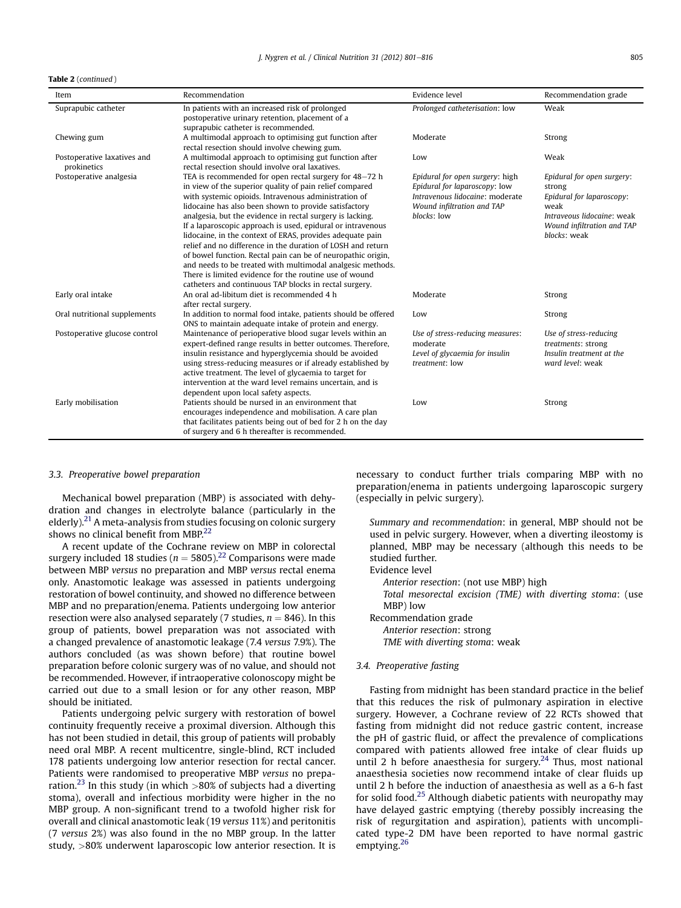Table 2 (continued )

| Item                                       | Recommendation                                                                                                                                                                                                                                                                                                                                                                                                                                                                                                                                                                                                                                                                                                                               | Evidence level                                                                                                                                   | Recommendation grade                                                                                                                                  |
|--------------------------------------------|----------------------------------------------------------------------------------------------------------------------------------------------------------------------------------------------------------------------------------------------------------------------------------------------------------------------------------------------------------------------------------------------------------------------------------------------------------------------------------------------------------------------------------------------------------------------------------------------------------------------------------------------------------------------------------------------------------------------------------------------|--------------------------------------------------------------------------------------------------------------------------------------------------|-------------------------------------------------------------------------------------------------------------------------------------------------------|
| Suprapubic catheter                        | In patients with an increased risk of prolonged<br>postoperative urinary retention, placement of a<br>suprapubic catheter is recommended.                                                                                                                                                                                                                                                                                                                                                                                                                                                                                                                                                                                                    | Prolonged catheterisation: low                                                                                                                   | Weak                                                                                                                                                  |
| Chewing gum                                | A multimodal approach to optimising gut function after<br>rectal resection should involve chewing gum.                                                                                                                                                                                                                                                                                                                                                                                                                                                                                                                                                                                                                                       | Moderate                                                                                                                                         | Strong                                                                                                                                                |
| Postoperative laxatives and<br>prokinetics | A multimodal approach to optimising gut function after<br>rectal resection should involve oral laxatives.                                                                                                                                                                                                                                                                                                                                                                                                                                                                                                                                                                                                                                    | Low                                                                                                                                              | Weak                                                                                                                                                  |
| Postoperative analgesia                    | TEA is recommended for open rectal surgery for 48-72 h<br>in view of the superior quality of pain relief compared<br>with systemic opioids. Intravenous administration of<br>lidocaine has also been shown to provide satisfactory<br>analgesia, but the evidence in rectal surgery is lacking.<br>If a laparoscopic approach is used, epidural or intravenous<br>lidocaine, in the context of ERAS, provides adequate pain<br>relief and no difference in the duration of LOSH and return<br>of bowel function. Rectal pain can be of neuropathic origin,<br>and needs to be treated with multimodal analgesic methods.<br>There is limited evidence for the routine use of wound<br>catheters and continuous TAP blocks in rectal surgery. | Epidural for open surgery: high<br>Epidural for laparoscopy: low<br>Intravenous lidocaine: moderate<br>Wound infiltration and TAP<br>blocks: low | Epidural for open surgery:<br>strong<br>Epidural for laparoscopy:<br>weak<br>Intraveous lidocaine: weak<br>Wound infiltration and TAP<br>blocks: weak |
| Early oral intake                          | An oral ad-libitum diet is recommended 4 h<br>after rectal surgery.                                                                                                                                                                                                                                                                                                                                                                                                                                                                                                                                                                                                                                                                          | Moderate                                                                                                                                         | Strong                                                                                                                                                |
| Oral nutritional supplements               | In addition to normal food intake, patients should be offered<br>ONS to maintain adequate intake of protein and energy.                                                                                                                                                                                                                                                                                                                                                                                                                                                                                                                                                                                                                      | Low                                                                                                                                              | Strong                                                                                                                                                |
| Postoperative glucose control              | Maintenance of perioperative blood sugar levels within an<br>expert-defined range results in better outcomes. Therefore,<br>insulin resistance and hyperglycemia should be avoided<br>using stress-reducing measures or if already established by<br>active treatment. The level of glycaemia to target for<br>intervention at the ward level remains uncertain, and is<br>dependent upon local safety aspects.                                                                                                                                                                                                                                                                                                                              | Use of stress-reducing measures:<br>moderate<br>Level of glycaemia for insulin<br>treatment: low                                                 | Use of stress-reducing<br>treatments: strong<br>Insulin treatment at the<br>ward level: weak                                                          |
| Early mobilisation                         | Patients should be nursed in an environment that<br>encourages independence and mobilisation. A care plan<br>that facilitates patients being out of bed for 2 h on the day<br>of surgery and 6 h thereafter is recommended.                                                                                                                                                                                                                                                                                                                                                                                                                                                                                                                  | Low                                                                                                                                              | Strong                                                                                                                                                |

#### 3.3. Preoperative bowel preparation

Mechanical bowel preparation (MBP) is associated with dehydration and changes in electrolyte balance (particularly in the elderly).<sup>21</sup> A meta-analysis from studies focusing on colonic surgery shows no clinical benefit from MBP.<sup>[22](#page-13-0)</sup>

A recent update of the Cochrane review on MBP in colorectal surgery included 18 studies ( $n = 5805$ ).<sup>[22](#page-13-0)</sup> Comparisons were made between MBP versus no preparation and MBP versus rectal enema only. Anastomotic leakage was assessed in patients undergoing restoration of bowel continuity, and showed no difference between MBP and no preparation/enema. Patients undergoing low anterior resection were also analysed separately (7 studies,  $n = 846$ ). In this group of patients, bowel preparation was not associated with a changed prevalence of anastomotic leakage (7.4 versus 7.9%). The authors concluded (as was shown before) that routine bowel preparation before colonic surgery was of no value, and should not be recommended. However, if intraoperative colonoscopy might be carried out due to a small lesion or for any other reason, MBP should be initiated.

Patients undergoing pelvic surgery with restoration of bowel continuity frequently receive a proximal diversion. Although this has not been studied in detail, this group of patients will probably need oral MBP. A recent multicentre, single-blind, RCT included 178 patients undergoing low anterior resection for rectal cancer. Patients were randomised to preoperative MBP versus no prepa-ration.<sup>[23](#page-13-0)</sup> In this study (in which  $>$ 80% of subjects had a diverting stoma), overall and infectious morbidity were higher in the no MBP group. A non-significant trend to a twofold higher risk for overall and clinical anastomotic leak (19 versus 11%) and peritonitis (7 versus 2%) was also found in the no MBP group. In the latter study, >80% underwent laparoscopic low anterior resection. It is necessary to conduct further trials comparing MBP with no preparation/enema in patients undergoing laparoscopic surgery (especially in pelvic surgery).

Summary and recommendation: in general, MBP should not be used in pelvic surgery. However, when a diverting ileostomy is planned, MBP may be necessary (although this needs to be studied further.

Evidence level Anterior resection: (not use MBP) high

Total mesorectal excision (TME) with diverting stoma: (use MBP) low Recommendation grade Anterior resection: strong TME with diverting stoma: weak

#### 3.4. Preoperative fasting

Fasting from midnight has been standard practice in the belief that this reduces the risk of pulmonary aspiration in elective surgery. However, a Cochrane review of 22 RCTs showed that fasting from midnight did not reduce gastric content, increase the pH of gastric fluid, or affect the prevalence of complications compared with patients allowed free intake of clear fluids up until 2 h before anaesthesia for surgery.<sup>[24](#page-13-0)</sup> Thus, most national anaesthesia societies now recommend intake of clear fluids up until 2 h before the induction of anaesthesia as well as a 6-h fast for solid food.<sup>[25](#page-13-0)</sup> Although diabetic patients with neuropathy may have delayed gastric emptying (thereby possibly increasing the risk of regurgitation and aspiration), patients with uncomplicated type-2 DM have been reported to have normal gastric emptying.[26](#page-13-0)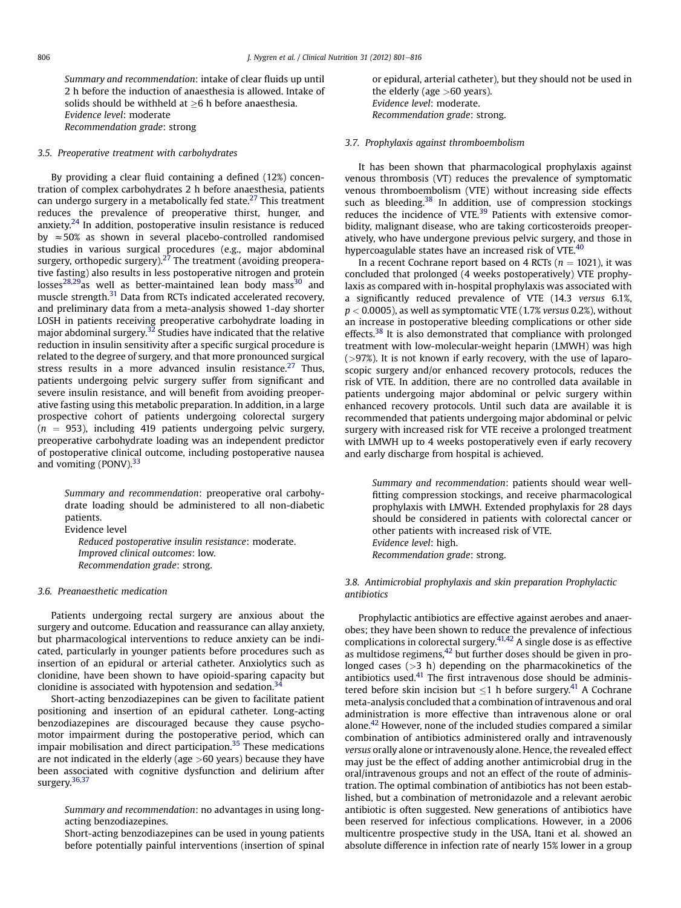Summary and recommendation: intake of clear fluids up until 2 h before the induction of anaesthesia is allowed. Intake of solids should be withheld at  $\geq$ 6 h before anaesthesia. Evidence level: moderate Recommendation grade: strong

#### 3.5. Preoperative treatment with carbohydrates

By providing a clear fluid containing a defined (12%) concentration of complex carbohydrates 2 h before anaesthesia, patients can undergo surgery in a metabolically fed state. $27$  This treatment reduces the prevalence of preoperative thirst, hunger, and anxiety. $24$  In addition, postoperative insulin resistance is reduced by  $\approx$  50% as shown in several placebo-controlled randomised studies in various surgical procedures (e.g., major abdominal surgery, orthopedic surgery). $2^7$  The treatment (avoiding preoperative fasting) also results in less postoperative nitrogen and protein losses<sup>28,29</sup>as well as better-maintained lean body mass<sup>30</sup> and muscle strength.<sup>[31](#page-13-0)</sup> Data from RCTs indicated accelerated recovery, and preliminary data from a meta-analysis showed 1-day shorter LOSH in patients receiving preoperative carbohydrate loading in major abdominal surgery.<sup>[32](#page-13-0)</sup> Studies have indicated that the relative reduction in insulin sensitivity after a specific surgical procedure is related to the degree of surgery, and that more pronounced surgical stress results in a more advanced insulin resistance. $27$  Thus, patients undergoing pelvic surgery suffer from significant and severe insulin resistance, and will benefit from avoiding preoperative fasting using this metabolic preparation. In addition, in a large prospective cohort of patients undergoing colorectal surgery  $(n = 953)$ , including 419 patients undergoing pelvic surgery, preoperative carbohydrate loading was an independent predictor of postoperative clinical outcome, including postoperative nausea and vomiting (PONV).<sup>[33](#page-13-0)</sup>

Summary and recommendation: preoperative oral carbohydrate loading should be administered to all non-diabetic patients.

Evidence level

Reduced postoperative insulin resistance: moderate. Improved clinical outcomes: low. Recommendation grade: strong.

# 3.6. Preanaesthetic medication

Patients undergoing rectal surgery are anxious about the surgery and outcome. Education and reassurance can allay anxiety, but pharmacological interventions to reduce anxiety can be indicated, particularly in younger patients before procedures such as insertion of an epidural or arterial catheter. Anxiolytics such as clonidine, have been shown to have opioid-sparing capacity but clonidine is associated with hypotension and sedation.<sup>[34](#page-13-0)</sup>

Short-acting benzodiazepines can be given to facilitate patient positioning and insertion of an epidural catheter. Long-acting benzodiazepines are discouraged because they cause psychomotor impairment during the postoperative period, which can impair mobilisation and direct participation.<sup>35</sup> These medications are not indicated in the elderly (age >60 years) because they have been associated with cognitive dysfunction and delirium after surgery.[36,37](#page-13-0)

Summary and recommendation: no advantages in using longacting benzodiazepines.

Short-acting benzodiazepines can be used in young patients before potentially painful interventions (insertion of spinal or epidural, arterial catheter), but they should not be used in the elderly (age  $>60$  years). Evidence level: moderate. Recommendation grade: strong.

#### 3.7. Prophylaxis against thromboembolism

It has been shown that pharmacological prophylaxis against venous thrombosis (VT) reduces the prevalence of symptomatic venous thromboembolism (VTE) without increasing side effects such as bleeding.<sup>[38](#page-13-0)</sup> In addition, use of compression stockings reduces the incidence of VTE.<sup>39</sup> Patients with extensive comorbidity, malignant disease, who are taking corticosteroids preoperatively, who have undergone previous pelvic surgery, and those in hypercoagulable states have an increased risk of VTE.<sup>[40](#page-13-0)</sup>

In a recent Cochrane report based on 4 RCTs ( $n = 1021$ ), it was concluded that prolonged (4 weeks postoperatively) VTE prophylaxis as compared with in-hospital prophylaxis was associated with a significantly reduced prevalence of VTE (14.3 versus 6.1%,  $p < 0.0005$ ), as well as symptomatic VTE (1.7% versus 0.2%), without an increase in postoperative bleeding complications or other side effects.<sup>38</sup> It is also demonstrated that compliance with prolonged treatment with low-molecular-weight heparin (LMWH) was high (>97%). It is not known if early recovery, with the use of laparoscopic surgery and/or enhanced recovery protocols, reduces the risk of VTE. In addition, there are no controlled data available in patients undergoing major abdominal or pelvic surgery within enhanced recovery protocols. Until such data are available it is recommended that patients undergoing major abdominal or pelvic surgery with increased risk for VTE receive a prolonged treatment with LMWH up to 4 weeks postoperatively even if early recovery and early discharge from hospital is achieved.

Summary and recommendation: patients should wear wellfitting compression stockings, and receive pharmacological prophylaxis with LMWH. Extended prophylaxis for 28 days should be considered in patients with colorectal cancer or other patients with increased risk of VTE. Evidence level: high. Recommendation grade: strong.

3.8. Antimicrobial prophylaxis and skin preparation Prophylactic antibiotics

Prophylactic antibiotics are effective against aerobes and anaerobes; they have been shown to reduce the prevalence of infectious complications in colorectal surgery.<sup>[41,42](#page-13-0)</sup> A single dose is as effective as multidose regimens,<sup>[42](#page-13-0)</sup> but further doses should be given in prolonged cases  $(>3 h)$  depending on the pharmacokinetics of the antibiotics used. $41$  The first intravenous dose should be administered before skin incision but  $\leq 1$  h before surgery.<sup>41</sup> A Cochrane meta-analysis concluded that a combination of intravenous and oral administration is more effective than intravenous alone or oral alone.<sup>42</sup> However, none of the included studies compared a similar combination of antibiotics administered orally and intravenously versus orally alone or intravenously alone. Hence, the revealed effect may just be the effect of adding another antimicrobial drug in the oral/intravenous groups and not an effect of the route of administration. The optimal combination of antibiotics has not been established, but a combination of metronidazole and a relevant aerobic antibiotic is often suggested. New generations of antibiotics have been reserved for infectious complications. However, in a 2006 multicentre prospective study in the USA, Itani et al. showed an absolute difference in infection rate of nearly 15% lower in a group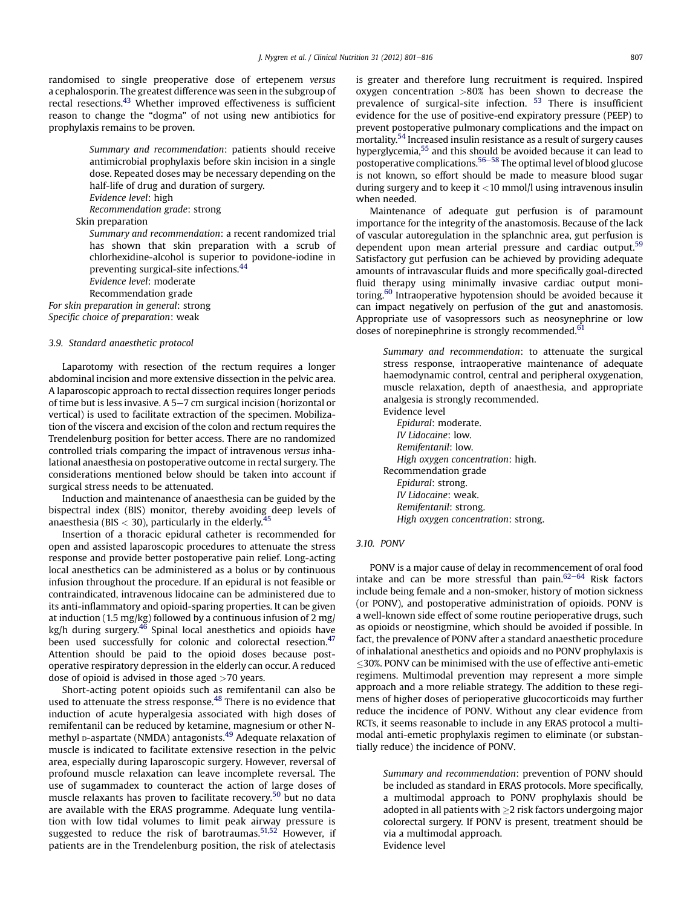randomised to single preoperative dose of ertepenem versus a cephalosporin. The greatest difference was seen in the subgroup of rectal resections.<sup>[43](#page-13-0)</sup> Whether improved effectiveness is sufficient reason to change the "dogma" of not using new antibiotics for prophylaxis remains to be proven.

> Summary and recommendation: patients should receive antimicrobial prophylaxis before skin incision in a single dose. Repeated doses may be necessary depending on the half-life of drug and duration of surgery. Evidence level: high

Recommendation grade: strong

Skin preparation

Summary and recommendation: a recent randomized trial has shown that skin preparation with a scrub of chlorhexidine-alcohol is superior to povidone-iodine in preventing surgical-site infections.[44](#page-13-0)

Evidence level: moderate

Recommendation grade

For skin preparation in general: strong Specific choice of preparation: weak

#### 3.9. Standard anaesthetic protocol

Laparotomy with resection of the rectum requires a longer abdominal incision and more extensive dissection in the pelvic area. A laparoscopic approach to rectal dissection requires longer periods of time but is less invasive. A  $5-7$  cm surgical incision (horizontal or vertical) is used to facilitate extraction of the specimen. Mobilization of the viscera and excision of the colon and rectum requires the Trendelenburg position for better access. There are no randomized controlled trials comparing the impact of intravenous versus inhalational anaesthesia on postoperative outcome in rectal surgery. The considerations mentioned below should be taken into account if surgical stress needs to be attenuated.

Induction and maintenance of anaesthesia can be guided by the bispectral index (BIS) monitor, thereby avoiding deep levels of anaesthesia (BIS  $<$  30), particularly in the elderly.<sup>[45](#page-13-0)</sup>

Insertion of a thoracic epidural catheter is recommended for open and assisted laparoscopic procedures to attenuate the stress response and provide better postoperative pain relief. Long-acting local anesthetics can be administered as a bolus or by continuous infusion throughout the procedure. If an epidural is not feasible or contraindicated, intravenous lidocaine can be administered due to its anti-inflammatory and opioid-sparing properties. It can be given at induction (1.5 mg/kg) followed by a continuous infusion of 2 mg/ kg/h during surgery.<sup>[46](#page-13-0)</sup> Spinal local anesthetics and opioids have been used successfully for colonic and colorectal resection.<sup>[47](#page-13-0)</sup> Attention should be paid to the opioid doses because postoperative respiratory depression in the elderly can occur. A reduced dose of opioid is advised in those aged >70 years.

Short-acting potent opioids such as remifentanil can also be used to attenuate the stress response.<sup>[48](#page-13-0)</sup> There is no evidence that induction of acute hyperalgesia associated with high doses of remifentanil can be reduced by ketamine, magnesium or other N-methyl D-aspartate (NMDA) antagonists.<sup>[49](#page-13-0)</sup> Adequate relaxation of muscle is indicated to facilitate extensive resection in the pelvic area, especially during laparoscopic surgery. However, reversal of profound muscle relaxation can leave incomplete reversal. The use of sugammadex to counteract the action of large doses of muscle relaxants has proven to facilitate recovery.[50](#page-13-0) but no data are available with the ERAS programme. Adequate lung ventilation with low tidal volumes to limit peak airway pressure is suggested to reduce the risk of barotraumas.<sup>[51,52](#page-13-0)</sup> However, if patients are in the Trendelenburg position, the risk of atelectasis

is greater and therefore lung recruitment is required. Inspired oxygen concentration  $>80\%$  has been shown to decrease the prevalence of surgical-site infection. [53](#page-13-0) There is insufficient evidence for the use of positive-end expiratory pressure (PEEP) to prevent postoperative pulmonary complications and the impact on mortality.[54](#page-13-0) Increased insulin resistance as a result of surgery causes hyperglycemia,<sup>55</sup> and this should be avoided because it can lead to postoperative complications.<sup>56–[58](#page-13-0)</sup> The optimal level of blood glucose is not known, so effort should be made to measure blood sugar during surgery and to keep it <10 mmol/l using intravenous insulin when needed.

Maintenance of adequate gut perfusion is of paramount importance for the integrity of the anastomosis. Because of the lack of vascular autoregulation in the splanchnic area, gut perfusion is dependent upon mean arterial pressure and cardiac output.<sup>59</sup> Satisfactory gut perfusion can be achieved by providing adequate amounts of intravascular fluids and more specifically goal-directed fluid therapy using minimally invasive cardiac output monitoring[.60](#page-13-0) Intraoperative hypotension should be avoided because it can impact negatively on perfusion of the gut and anastomosis. Appropriate use of vasopressors such as neosynephrine or low doses of norepinephrine is strongly recommended.<sup>[61](#page-13-0)</sup>

Summary and recommendation: to attenuate the surgical stress response, intraoperative maintenance of adequate haemodynamic control, central and peripheral oxygenation, muscle relaxation, depth of anaesthesia, and appropriate analgesia is strongly recommended.

Evidence level Epidural: moderate. IV Lidocaine: low. Remifentanil: low. High oxygen concentration: high. Recommendation grade Epidural: strong. IV Lidocaine: weak.

Remifentanil: strong. High oxygen concentration: strong.

# 3.10. PONV

PONV is a major cause of delay in recommencement of oral food intake and can be more stressful than  $\text{pain.}^{62-64}$  $\text{pain.}^{62-64}$  $\text{pain.}^{62-64}$  $\text{pain.}^{62-64}$  $\text{pain.}^{62-64}$  Risk factors include being female and a non-smoker, history of motion sickness (or PONV), and postoperative administration of opioids. PONV is a well-known side effect of some routine perioperative drugs, such as opioids or neostigmine, which should be avoided if possible. In fact, the prevalence of PONV after a standard anaesthetic procedure of inhalational anesthetics and opioids and no PONV prophylaxis is 30%. PONV can be minimised with the use of effective anti-emetic regimens. Multimodal prevention may represent a more simple approach and a more reliable strategy. The addition to these regimens of higher doses of perioperative glucocorticoids may further reduce the incidence of PONV. Without any clear evidence from RCTs, it seems reasonable to include in any ERAS protocol a multimodal anti-emetic prophylaxis regimen to eliminate (or substantially reduce) the incidence of PONV.

Summary and recommendation: prevention of PONV should be included as standard in ERAS protocols. More specifically, a multimodal approach to PONV prophylaxis should be adopted in all patients with  $\geq$ 2 risk factors undergoing major colorectal surgery. If PONV is present, treatment should be via a multimodal approach. Evidence level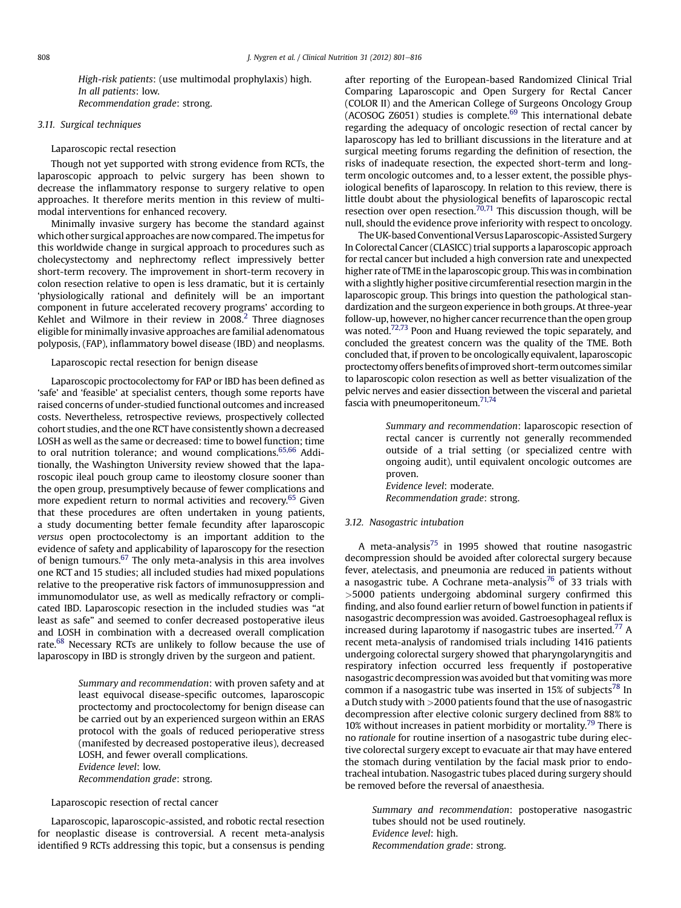High-risk patients: (use multimodal prophylaxis) high. In all patients: low. Recommendation grade: strong.

#### 3.11. Surgical techniques

## Laparoscopic rectal resection

Though not yet supported with strong evidence from RCTs, the laparoscopic approach to pelvic surgery has been shown to decrease the inflammatory response to surgery relative to open approaches. It therefore merits mention in this review of multimodal interventions for enhanced recovery.

Minimally invasive surgery has become the standard against which other surgical approaches are now compared. The impetus for this worldwide change in surgical approach to procedures such as cholecystectomy and nephrectomy reflect impressively better short-term recovery. The improvement in short-term recovery in colon resection relative to open is less dramatic, but it is certainly 'physiologically rational and definitely will be an important component in future accelerated recovery programs' according to Kehlet and Wilmore in their review in  $2008<sup>2</sup>$  $2008<sup>2</sup>$  Three diagnoses eligible for minimally invasive approaches are familial adenomatous polyposis, (FAP), inflammatory bowel disease (IBD) and neoplasms.

## Laparoscopic rectal resection for benign disease

Laparoscopic proctocolectomy for FAP or IBD has been defined as 'safe' and 'feasible' at specialist centers, though some reports have raised concerns of under-studied functional outcomes and increased costs. Nevertheless, retrospective reviews, prospectively collected cohort studies, and the one RCT have consistently shown a decreased LOSH as well as the same or decreased: time to bowel function; time to oral nutrition tolerance; and wound complications.<sup>[65,66](#page-13-0)</sup> Additionally, the Washington University review showed that the laparoscopic ileal pouch group came to ileostomy closure sooner than the open group, presumptively because of fewer complications and more expedient return to normal activities and recovery.[65](#page-13-0) Given that these procedures are often undertaken in young patients, a study documenting better female fecundity after laparoscopic versus open proctocolectomy is an important addition to the evidence of safety and applicability of laparoscopy for the resection of benign tumours.[67](#page-13-0) The only meta-analysis in this area involves one RCT and 15 studies; all included studies had mixed populations relative to the preoperative risk factors of immunosuppression and immunomodulator use, as well as medically refractory or complicated IBD. Laparoscopic resection in the included studies was "at least as safe" and seemed to confer decreased postoperative ileus and LOSH in combination with a decreased overall complication rate.<sup>68</sup> Necessary RCTs are unlikely to follow because the use of laparoscopy in IBD is strongly driven by the surgeon and patient.

> Summary and recommendation: with proven safety and at least equivocal disease-specific outcomes, laparoscopic proctectomy and proctocolectomy for benign disease can be carried out by an experienced surgeon within an ERAS protocol with the goals of reduced perioperative stress (manifested by decreased postoperative ileus), decreased LOSH, and fewer overall complications. Evidence level: low. Recommendation grade: strong.

## Laparoscopic resection of rectal cancer

Laparoscopic, laparoscopic-assisted, and robotic rectal resection for neoplastic disease is controversial. A recent meta-analysis identified 9 RCTs addressing this topic, but a consensus is pending after reporting of the European-based Randomized Clinical Trial Comparing Laparoscopic and Open Surgery for Rectal Cancer (COLOR II) and the American College of Surgeons Oncology Group (ACOSOG Z6051) studies is complete.[69](#page-13-0) This international debate regarding the adequacy of oncologic resection of rectal cancer by laparoscopy has led to brilliant discussions in the literature and at surgical meeting forums regarding the definition of resection, the risks of inadequate resection, the expected short-term and longterm oncologic outcomes and, to a lesser extent, the possible physiological benefits of laparoscopy. In relation to this review, there is little doubt about the physiological benefits of laparoscopic rectal resection over open resection.<sup>[70,71](#page-13-0)</sup> This discussion though, will be null, should the evidence prove inferiority with respect to oncology.

The UK-based Conventional Versus Laparoscopic-Assisted Surgery In Colorectal Cancer (CLASICC) trial supports a laparoscopic approach for rectal cancer but included a high conversion rate and unexpected higher rate of TME in the laparoscopic group. This was in combination with a slightly higher positive circumferential resection margin in the laparoscopic group. This brings into question the pathological standardization and the surgeon experience in both groups. At three-year follow-up, however, no higher cancer recurrence than the open group was noted.<sup>72,73</sup> Poon and Huang reviewed the topic separately, and concluded the greatest concern was the quality of the TME. Both concluded that, if proven to be oncologically equivalent, laparoscopic proctectomy offers benefits of improved short-term outcomes similar to laparoscopic colon resection as well as better visualization of the pelvic nerves and easier dissection between the visceral and parietal fascia with pneumoperitoneum[.71,74](#page-13-0)

> Summary and recommendation: laparoscopic resection of rectal cancer is currently not generally recommended outside of a trial setting (or specialized centre with ongoing audit), until equivalent oncologic outcomes are proven. Evidence level: moderate.

Recommendation grade: strong.

## 3.12. Nasogastric intubation

A meta-analysis $75$  in 1995 showed that routine nasogastric decompression should be avoided after colorectal surgery because fever, atelectasis, and pneumonia are reduced in patients without a nasogastric tube. A Cochrane meta-analysis<sup>[76](#page-14-0)</sup> of 33 trials with >5000 patients undergoing abdominal surgery confirmed this finding, and also found earlier return of bowel function in patients if nasogastric decompression was avoided. Gastroesophageal reflux is increased during laparotomy if nasogastric tubes are inserted.<sup>[77](#page-14-0)</sup> A recent meta-analysis of randomised trials including 1416 patients undergoing colorectal surgery showed that pharyngolaryngitis and respiratory infection occurred less frequently if postoperative nasogastric decompressionwas avoided but that vomiting was more common if a nasogastric tube was inserted in 15% of subjects<sup>[78](#page-14-0)</sup> In a Dutch study with >2000 patients found that the use of nasogastric decompression after elective colonic surgery declined from 88% to 10% without increases in patient morbidity or mortality.<sup>[79](#page-14-0)</sup> There is no rationale for routine insertion of a nasogastric tube during elective colorectal surgery except to evacuate air that may have entered the stomach during ventilation by the facial mask prior to endotracheal intubation. Nasogastric tubes placed during surgery should be removed before the reversal of anaesthesia.

Summary and recommendation: postoperative nasogastric tubes should not be used routinely. Evidence level: high. Recommendation grade: strong.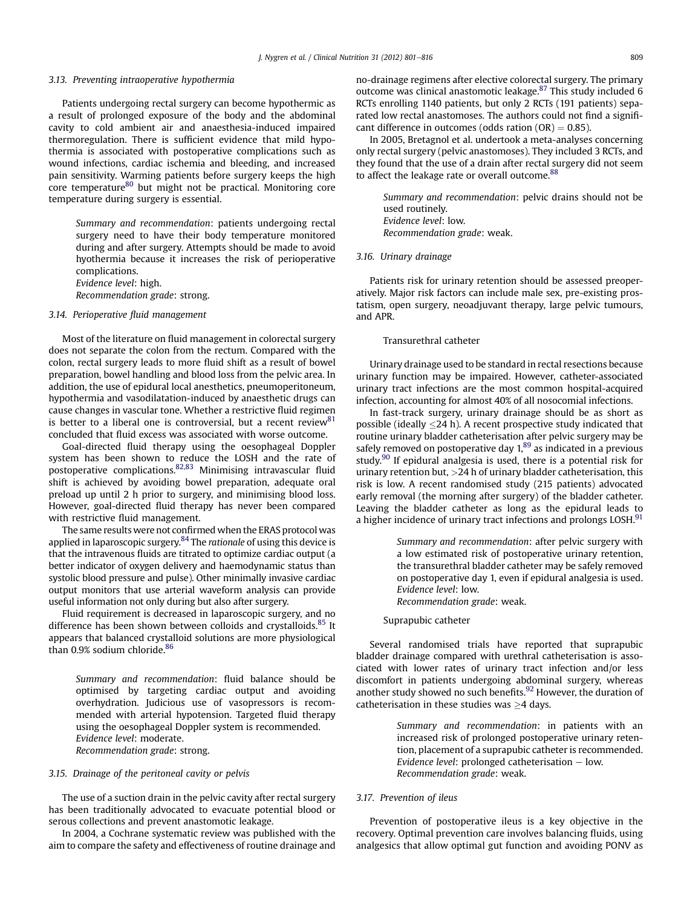#### 3.13. Preventing intraoperative hypothermia

Patients undergoing rectal surgery can become hypothermic as a result of prolonged exposure of the body and the abdominal cavity to cold ambient air and anaesthesia-induced impaired thermoregulation. There is sufficient evidence that mild hypothermia is associated with postoperative complications such as wound infections, cardiac ischemia and bleeding, and increased pain sensitivity. Warming patients before surgery keeps the high core temperature<sup>[80](#page-14-0)</sup> but might not be practical. Monitoring core temperature during surgery is essential.

Summary and recommendation: patients undergoing rectal surgery need to have their body temperature monitored during and after surgery. Attempts should be made to avoid hyothermia because it increases the risk of perioperative complications. Evidence level: high.

Recommendation grade: strong.

#### 3.14. Perioperative fluid management

Most of the literature on fluid management in colorectal surgery does not separate the colon from the rectum. Compared with the colon, rectal surgery leads to more fluid shift as a result of bowel preparation, bowel handling and blood loss from the pelvic area. In addition, the use of epidural local anesthetics, pneumoperitoneum, hypothermia and vasodilatation-induced by anaesthetic drugs can cause changes in vascular tone. Whether a restrictive fluid regimen is better to a liberal one is controversial, but a recent review $81$ concluded that fluid excess was associated with worse outcome.

Goal-directed fluid therapy using the oesophageal Doppler system has been shown to reduce the LOSH and the rate of postoperative complications.[82,83](#page-14-0) Minimising intravascular fluid shift is achieved by avoiding bowel preparation, adequate oral preload up until 2 h prior to surgery, and minimising blood loss. However, goal-directed fluid therapy has never been compared with restrictive fluid management.

The same results were not confirmed when the ERAS protocol was applied in laparoscopic surgery.<sup>84</sup> The *rationale* of using this device is that the intravenous fluids are titrated to optimize cardiac output (a better indicator of oxygen delivery and haemodynamic status than systolic blood pressure and pulse). Other minimally invasive cardiac output monitors that use arterial waveform analysis can provide useful information not only during but also after surgery.

Fluid requirement is decreased in laparoscopic surgery, and no difference has been shown between colloids and crystalloids.<sup>[85](#page-14-0)</sup> It appears that balanced crystalloid solutions are more physiological than 0.9% sodium chloride.<sup>[86](#page-14-0)</sup>

Summary and recommendation: fluid balance should be optimised by targeting cardiac output and avoiding overhydration. Judicious use of vasopressors is recommended with arterial hypotension. Targeted fluid therapy using the oesophageal Doppler system is recommended. Evidence level: moderate. Recommendation grade: strong.

#### 3.15. Drainage of the peritoneal cavity or pelvis

The use of a suction drain in the pelvic cavity after rectal surgery has been traditionally advocated to evacuate potential blood or serous collections and prevent anastomotic leakage.

In 2004, a Cochrane systematic review was published with the aim to compare the safety and effectiveness of routine drainage and no-drainage regimens after elective colorectal surgery. The primary outcome was clinical anastomotic leakage. $87$  This study included 6 RCTs enrolling 1140 patients, but only 2 RCTs (191 patients) separated low rectal anastomoses. The authors could not find a significant difference in outcomes (odds ration  $(OR) = 0.85$ ).

In 2005, Bretagnol et al. undertook a meta-analyses concerning only rectal surgery (pelvic anastomoses). They included 3 RCTs, and they found that the use of a drain after rectal surgery did not seem to affect the leakage rate or overall outcome.<sup>[88](#page-14-0)</sup>

Summary and recommendation: pelvic drains should not be used routinely. Evidence level: low. Recommendation grade: weak.

## 3.16. Urinary drainage

Patients risk for urinary retention should be assessed preoperatively. Major risk factors can include male sex, pre-existing prostatism, open surgery, neoadjuvant therapy, large pelvic tumours, and APR.

## Transurethral catheter

Urinary drainage used to be standard in rectal resections because urinary function may be impaired. However, catheter-associated urinary tract infections are the most common hospital-acquired infection, accounting for almost 40% of all nosocomial infections.

In fast-track surgery, urinary drainage should be as short as possible (ideally  $\leq$ 24 h). A recent prospective study indicated that routine urinary bladder catheterisation after pelvic surgery may be safely removed on postoperative day 1,[89](#page-14-0) as indicated in a previous study.<sup>[90](#page-14-0)</sup> If epidural analgesia is used, there is a potential risk for urinary retention but, >24 h of urinary bladder catheterisation, this risk is low. A recent randomised study (215 patients) advocated early removal (the morning after surgery) of the bladder catheter. Leaving the bladder catheter as long as the epidural leads to a higher incidence of urinary tract infections and prolongs LOSH.<sup>[91](#page-14-0)</sup>

> Summary and recommendation: after pelvic surgery with a low estimated risk of postoperative urinary retention, the transurethral bladder catheter may be safely removed on postoperative day 1, even if epidural analgesia is used. Evidence level: low.

Recommendation grade: weak.

#### Suprapubic catheter

Several randomised trials have reported that suprapubic bladder drainage compared with urethral catheterisation is associated with lower rates of urinary tract infection and/or less discomfort in patients undergoing abdominal surgery, whereas another study showed no such benefits. $92$  However, the duration of catheterisation in these studies was  $\geq$ 4 days.

> Summary and recommendation: in patients with an increased risk of prolonged postoperative urinary retention, placement of a suprapubic catheter is recommended. Evidence level: prolonged catheterisation  $-$  low. Recommendation grade: weak.

## 3.17. Prevention of ileus

Prevention of postoperative ileus is a key objective in the recovery. Optimal prevention care involves balancing fluids, using analgesics that allow optimal gut function and avoiding PONV as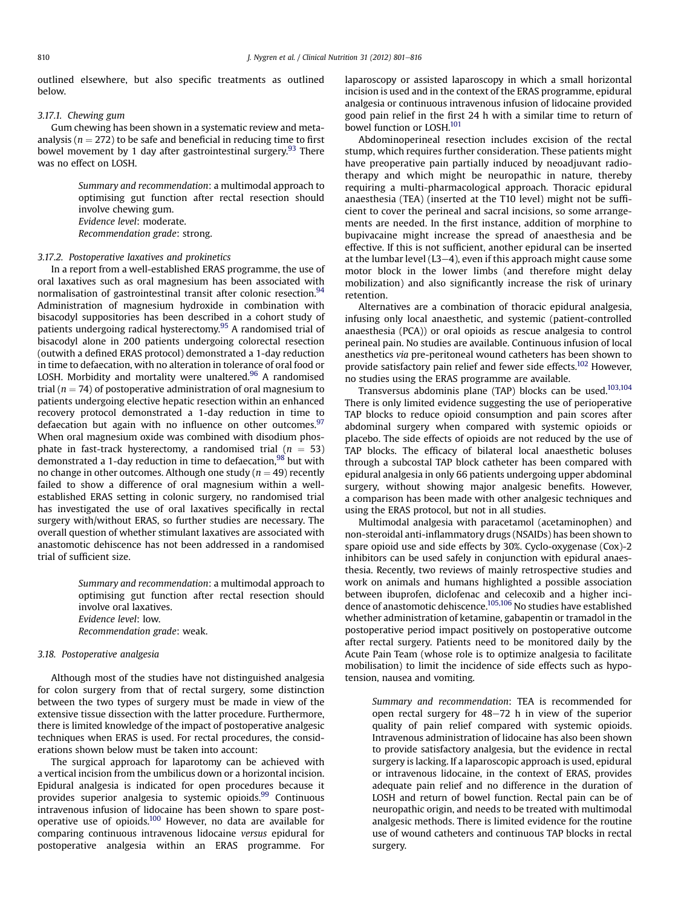outlined elsewhere, but also specific treatments as outlined below.

## 3.17.1. Chewing gum

Gum chewing has been shown in a systematic review and metaanalysis ( $n = 272$ ) to be safe and beneficial in reducing time to first bowel movement by 1 day after gastrointestinal surgery. <sup>93</sup> There was no effect on LOSH.

> Summary and recommendation: a multimodal approach to optimising gut function after rectal resection should involve chewing gum. Evidence level: moderate.

Recommendation grade: strong.

## 3.17.2. Postoperative laxatives and prokinetics

In a report from a well-established ERAS programme, the use of oral laxatives such as oral magnesium has been associated with normalisation of gastrointestinal transit after colonic resection.<sup>[94](#page-14-0)</sup> Administration of magnesium hydroxide in combination with bisacodyl suppositories has been described in a cohort study of patients undergoing radical hysterectomy.[95](#page-14-0) A randomised trial of bisacodyl alone in 200 patients undergoing colorectal resection (outwith a defined ERAS protocol) demonstrated a 1-day reduction in time to defaecation, with no alteration in tolerance of oral food or LOSH. Morbidity and mortality were unaltered. $96$  A randomised trial ( $n = 74$ ) of postoperative administration of oral magnesium to patients undergoing elective hepatic resection within an enhanced recovery protocol demonstrated a 1-day reduction in time to defaecation but again with no influence on other outcomes.  $97$ When oral magnesium oxide was combined with disodium phosphate in fast-track hysterectomy, a randomised trial ( $n = 53$ ) demonstrated a 1-day reduction in time to defaecation,<sup>[98](#page-14-0)</sup> but with no change in other outcomes. Although one study ( $n = 49$ ) recently failed to show a difference of oral magnesium within a wellestablished ERAS setting in colonic surgery, no randomised trial has investigated the use of oral laxatives specifically in rectal surgery with/without ERAS, so further studies are necessary. The overall question of whether stimulant laxatives are associated with anastomotic dehiscence has not been addressed in a randomised trial of sufficient size.

> Summary and recommendation: a multimodal approach to optimising gut function after rectal resection should involve oral laxatives. Evidence level: low. Recommendation grade: weak.

# 3.18. Postoperative analgesia

Although most of the studies have not distinguished analgesia for colon surgery from that of rectal surgery, some distinction between the two types of surgery must be made in view of the extensive tissue dissection with the latter procedure. Furthermore, there is limited knowledge of the impact of postoperative analgesic techniques when ERAS is used. For rectal procedures, the considerations shown below must be taken into account:

The surgical approach for laparotomy can be achieved with a vertical incision from the umbilicus down or a horizontal incision. Epidural analgesia is indicated for open procedures because it provides superior analgesia to systemic opioids.<sup>[99](#page-14-0)</sup> Continuous intravenous infusion of lidocaine has been shown to spare postoperative use of opioids.[100](#page-14-0) However, no data are available for comparing continuous intravenous lidocaine versus epidural for postoperative analgesia within an ERAS programme. For laparoscopy or assisted laparoscopy in which a small horizontal incision is used and in the context of the ERAS programme, epidural analgesia or continuous intravenous infusion of lidocaine provided good pain relief in the first 24 h with a similar time to return of bowel function or LOSH.<sup>101</sup>

Abdominoperineal resection includes excision of the rectal stump, which requires further consideration. These patients might have preoperative pain partially induced by neoadjuvant radiotherapy and which might be neuropathic in nature, thereby requiring a multi-pharmacological approach. Thoracic epidural anaesthesia (TEA) (inserted at the T10 level) might not be sufficient to cover the perineal and sacral incisions, so some arrangements are needed. In the first instance, addition of morphine to bupivacaine might increase the spread of anaesthesia and be effective. If this is not sufficient, another epidural can be inserted at the lumbar level  $(L3-4)$ , even if this approach might cause some motor block in the lower limbs (and therefore might delay mobilization) and also significantly increase the risk of urinary retention.

Alternatives are a combination of thoracic epidural analgesia, infusing only local anaesthetic, and systemic (patient-controlled anaesthesia (PCA)) or oral opioids as rescue analgesia to control perineal pain. No studies are available. Continuous infusion of local anesthetics via pre-peritoneal wound catheters has been shown to provide satisfactory pain relief and fewer side effects.<sup>[102](#page-14-0)</sup> However, no studies using the ERAS programme are available.

Transversus abdominis plane (TAP) blocks can be used.[103,104](#page-14-0) There is only limited evidence suggesting the use of perioperative TAP blocks to reduce opioid consumption and pain scores after abdominal surgery when compared with systemic opioids or placebo. The side effects of opioids are not reduced by the use of TAP blocks. The efficacy of bilateral local anaesthetic boluses through a subcostal TAP block catheter has been compared with epidural analgesia in only 66 patients undergoing upper abdominal surgery, without showing major analgesic benefits. However, a comparison has been made with other analgesic techniques and using the ERAS protocol, but not in all studies.

Multimodal analgesia with paracetamol (acetaminophen) and non-steroidal anti-inflammatory drugs (NSAIDs) has been shown to spare opioid use and side effects by 30%. Cyclo-oxygenase (Cox)-2 inhibitors can be used safely in conjunction with epidural anaesthesia. Recently, two reviews of mainly retrospective studies and work on animals and humans highlighted a possible association between ibuprofen, diclofenac and celecoxib and a higher incidence of anastomotic dehiscence.[105,106](#page-14-0) No studies have established whether administration of ketamine, gabapentin or tramadol in the postoperative period impact positively on postoperative outcome after rectal surgery. Patients need to be monitored daily by the Acute Pain Team (whose role is to optimize analgesia to facilitate mobilisation) to limit the incidence of side effects such as hypotension, nausea and vomiting.

Summary and recommendation: TEA is recommended for open rectal surgery for  $48-72$  h in view of the superior quality of pain relief compared with systemic opioids. Intravenous administration of lidocaine has also been shown to provide satisfactory analgesia, but the evidence in rectal surgery is lacking. If a laparoscopic approach is used, epidural or intravenous lidocaine, in the context of ERAS, provides adequate pain relief and no difference in the duration of LOSH and return of bowel function. Rectal pain can be of neuropathic origin, and needs to be treated with multimodal analgesic methods. There is limited evidence for the routine use of wound catheters and continuous TAP blocks in rectal surgery.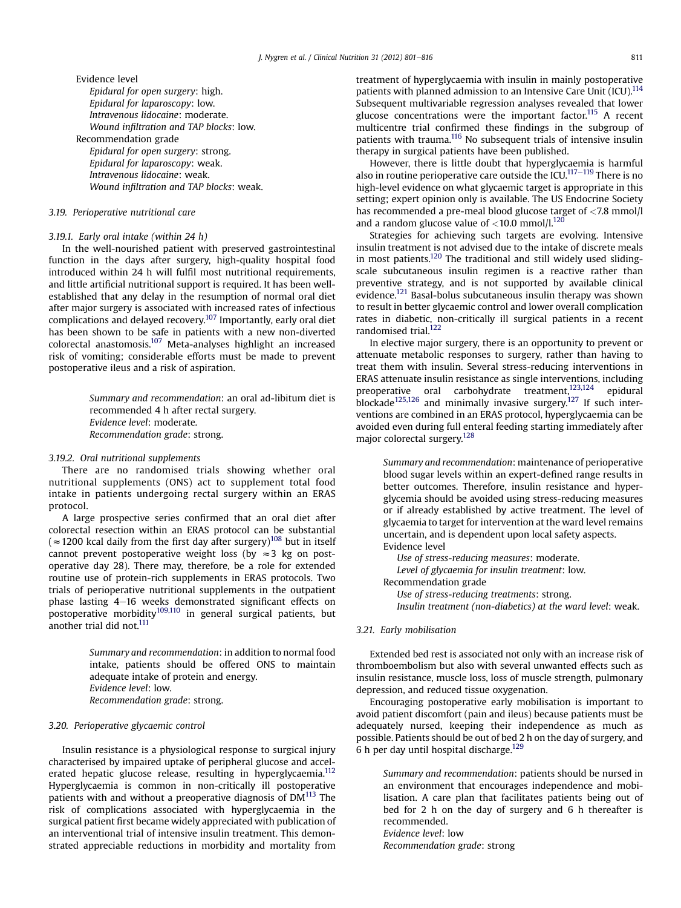Evidence level Epidural for open surgery: high. Epidural for laparoscopy: low. Intravenous lidocaine: moderate. Wound infiltration and TAP blocks: low. Recommendation grade Epidural for open surgery: strong. Epidural for laparoscopy: weak. Intravenous lidocaine: weak. Wound infiltration and TAP blocks: weak.

# 3.19. Perioperative nutritional care

### 3.19.1. Early oral intake (within 24 h)

In the well-nourished patient with preserved gastrointestinal function in the days after surgery, high-quality hospital food introduced within 24 h will fulfil most nutritional requirements, and little artificial nutritional support is required. It has been wellestablished that any delay in the resumption of normal oral diet after major surgery is associated with increased rates of infectious complications and delayed recovery.<sup>[107](#page-14-0)</sup> Importantly, early oral diet has been shown to be safe in patients with a new non-diverted colorectal anastomosis[.107](#page-14-0) Meta-analyses highlight an increased risk of vomiting; considerable efforts must be made to prevent postoperative ileus and a risk of aspiration.

> Summary and recommendation: an oral ad-libitum diet is recommended 4 h after rectal surgery. Evidence level: moderate. Recommendation grade: strong.

#### 3.19.2. Oral nutritional supplements

There are no randomised trials showing whether oral nutritional supplements (ONS) act to supplement total food intake in patients undergoing rectal surgery within an ERAS protocol.

A large prospective series confirmed that an oral diet after colorectal resection within an ERAS protocol can be substantial  $(z=1200 \text{ kcal daily from the first day after surgery})^{108}$  $(z=1200 \text{ kcal daily from the first day after surgery})^{108}$  $(z=1200 \text{ kcal daily from the first day after surgery})^{108}$  but in itself cannot prevent postoperative weight loss (by  $\approx$  3 kg on postoperative day 28). There may, therefore, be a role for extended routine use of protein-rich supplements in ERAS protocols. Two trials of perioperative nutritional supplements in the outpatient phase lasting  $4-16$  weeks demonstrated significant effects on postoperative morbidity $109,110$  in general surgical patients, but another trial did not.<sup>[111](#page-14-0)</sup>

> Summary and recommendation: in addition to normal food intake, patients should be offered ONS to maintain adequate intake of protein and energy. Evidence level: low. Recommendation grade: strong.

## 3.20. Perioperative glycaemic control

Insulin resistance is a physiological response to surgical injury characterised by impaired uptake of peripheral glucose and accelerated hepatic glucose release, resulting in hyperglycaemia.<sup>112</sup> Hyperglycaemia is common in non-critically ill postoperative patients with and without a preoperative diagnosis of  $DM<sup>113</sup>$  $DM<sup>113</sup>$  $DM<sup>113</sup>$  The risk of complications associated with hyperglycaemia in the surgical patient first became widely appreciated with publication of an interventional trial of intensive insulin treatment. This demonstrated appreciable reductions in morbidity and mortality from

treatment of hyperglycaemia with insulin in mainly postoperative patients with planned admission to an Intensive Care Unit (ICU).<sup>114</sup> Subsequent multivariable regression analyses revealed that lower glucose concentrations were the important factor.<sup>[115](#page-14-0)</sup> A recent multicentre trial confirmed these findings in the subgroup of patients with trauma.<sup>[116](#page-14-0)</sup> No subsequent trials of intensive insulin therapy in surgical patients have been published.

However, there is little doubt that hyperglycaemia is harmful also in routine perioperative care outside the ICU.<sup>117–[119](#page-14-0)</sup> There is no high-level evidence on what glycaemic target is appropriate in this setting; expert opinion only is available. The US Endocrine Society has recommended a pre-meal blood glucose target of <7.8 mmol/l and a random glucose value of  $<$ 10.0 mmol/l.<sup>120</sup>

Strategies for achieving such targets are evolving. Intensive insulin treatment is not advised due to the intake of discrete meals in most patients.<sup>[120](#page-14-0)</sup> The traditional and still widely used slidingscale subcutaneous insulin regimen is a reactive rather than preventive strategy, and is not supported by available clinical evidence[.121](#page-14-0) Basal-bolus subcutaneous insulin therapy was shown to result in better glycaemic control and lower overall complication rates in diabetic, non-critically ill surgical patients in a recent randomised trial.<sup>122</sup>

In elective major surgery, there is an opportunity to prevent or attenuate metabolic responses to surgery, rather than having to treat them with insulin. Several stress-reducing interventions in ERAS attenuate insulin resistance as single interventions, including preoperative oral carbohydrate treatment,<sup>123,124</sup> epidural blockade<sup>125,126</sup> and minimally invasive surgery.<sup>[127](#page-15-0)</sup> If such interventions are combined in an ERAS protocol, hyperglycaemia can be avoided even during full enteral feeding starting immediately after major colorectal surgery.<sup>128</sup>

Summary and recommendation: maintenance of perioperative blood sugar levels within an expert-defined range results in better outcomes. Therefore, insulin resistance and hyperglycemia should be avoided using stress-reducing measures or if already established by active treatment. The level of glycaemia to target for intervention at the ward level remains uncertain, and is dependent upon local safety aspects. Evidence level

Use of stress-reducing measures: moderate. Level of glycaemia for insulin treatment: low. Recommendation grade Use of stress-reducing treatments: strong.

Insulin treatment (non-diabetics) at the ward level: weak.

# 3.21. Early mobilisation

Extended bed rest is associated not only with an increase risk of thromboembolism but also with several unwanted effects such as insulin resistance, muscle loss, loss of muscle strength, pulmonary depression, and reduced tissue oxygenation.

Encouraging postoperative early mobilisation is important to avoid patient discomfort (pain and ileus) because patients must be adequately nursed, keeping their independence as much as possible. Patients should be out of bed 2 h on the day of surgery, and 6 h per day until hospital discharge[.129](#page-15-0)

Summary and recommendation: patients should be nursed in an environment that encourages independence and mobilisation. A care plan that facilitates patients being out of bed for 2 h on the day of surgery and 6 h thereafter is recommended. Evidence level: low Recommendation grade: strong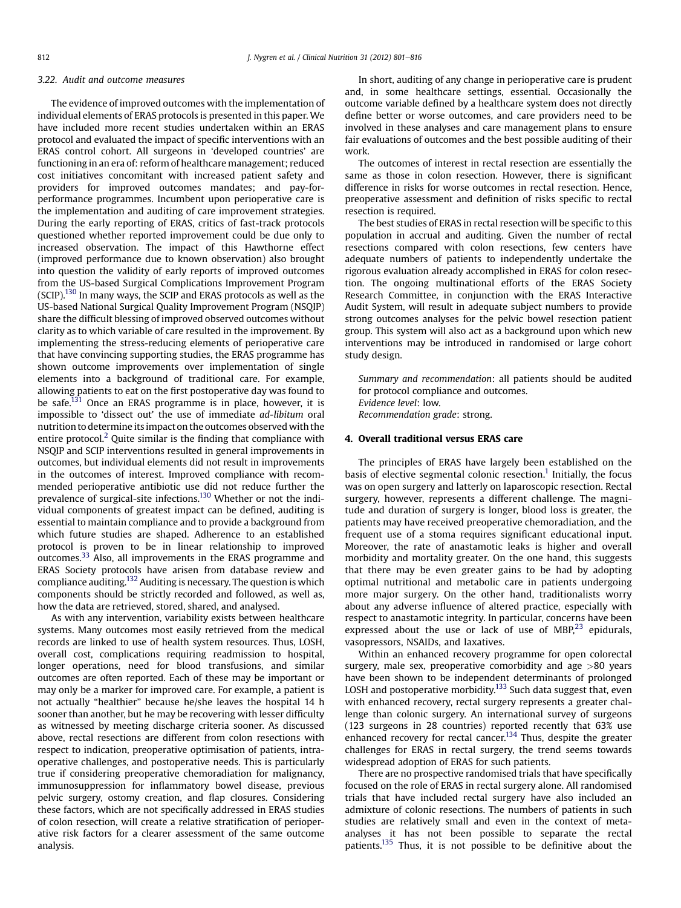#### 3.22. Audit and outcome measures

The evidence of improved outcomes with the implementation of individual elements of ERAS protocols is presented in this paper. We have included more recent studies undertaken within an ERAS protocol and evaluated the impact of specific interventions with an ERAS control cohort. All surgeons in 'developed countries' are functioning in an era of: reform of healthcare management; reduced cost initiatives concomitant with increased patient safety and providers for improved outcomes mandates; and pay-forperformance programmes. Incumbent upon perioperative care is the implementation and auditing of care improvement strategies. During the early reporting of ERAS, critics of fast-track protocols questioned whether reported improvement could be due only to increased observation. The impact of this Hawthorne effect (improved performance due to known observation) also brought into question the validity of early reports of improved outcomes from the US-based Surgical Complications Improvement Program (SCIP)[.130](#page-15-0) In many ways, the SCIP and ERAS protocols as well as the US-based National Surgical Quality Improvement Program (NSQIP) share the difficult blessing of improved observed outcomes without clarity as to which variable of care resulted in the improvement. By implementing the stress-reducing elements of perioperative care that have convincing supporting studies, the ERAS programme has shown outcome improvements over implementation of single elements into a background of traditional care. For example, allowing patients to eat on the first postoperative day was found to be safe.<sup>131</sup> Once an ERAS programme is in place, however, it is impossible to 'dissect out' the use of immediate ad-libitum oral nutrition to determine its impact on the outcomes observed with the entire protocol.<sup>2</sup> Quite similar is the finding that compliance with NSQIP and SCIP interventions resulted in general improvements in outcomes, but individual elements did not result in improvements in the outcomes of interest. Improved compliance with recommended perioperative antibiotic use did not reduce further the prevalence of surgical-site infections.[130](#page-15-0) Whether or not the individual components of greatest impact can be defined, auditing is essential to maintain compliance and to provide a background from which future studies are shaped. Adherence to an established protocol is proven to be in linear relationship to improved outcomes.[33](#page-13-0) Also, all improvements in the ERAS programme and ERAS Society protocols have arisen from database review and compliance auditing.[132](#page-15-0) Auditing is necessary. The question is which components should be strictly recorded and followed, as well as, how the data are retrieved, stored, shared, and analysed.

As with any intervention, variability exists between healthcare systems. Many outcomes most easily retrieved from the medical records are linked to use of health system resources. Thus, LOSH, overall cost, complications requiring readmission to hospital, longer operations, need for blood transfusions, and similar outcomes are often reported. Each of these may be important or may only be a marker for improved care. For example, a patient is not actually "healthier" because he/she leaves the hospital 14 h sooner than another, but he may be recovering with lesser difficulty as witnessed by meeting discharge criteria sooner. As discussed above, rectal resections are different from colon resections with respect to indication, preoperative optimisation of patients, intraoperative challenges, and postoperative needs. This is particularly true if considering preoperative chemoradiation for malignancy, immunosuppression for inflammatory bowel disease, previous pelvic surgery, ostomy creation, and flap closures. Considering these factors, which are not specifically addressed in ERAS studies of colon resection, will create a relative stratification of perioperative risk factors for a clearer assessment of the same outcome analysis.

In short, auditing of any change in perioperative care is prudent and, in some healthcare settings, essential. Occasionally the outcome variable defined by a healthcare system does not directly define better or worse outcomes, and care providers need to be involved in these analyses and care management plans to ensure fair evaluations of outcomes and the best possible auditing of their work.

The outcomes of interest in rectal resection are essentially the same as those in colon resection. However, there is significant difference in risks for worse outcomes in rectal resection. Hence, preoperative assessment and definition of risks specific to rectal resection is required.

The best studies of ERAS in rectal resection will be specific to this population in accrual and auditing. Given the number of rectal resections compared with colon resections, few centers have adequate numbers of patients to independently undertake the rigorous evaluation already accomplished in ERAS for colon resection. The ongoing multinational efforts of the ERAS Society Research Committee, in conjunction with the ERAS Interactive Audit System, will result in adequate subject numbers to provide strong outcomes analyses for the pelvic bowel resection patient group. This system will also act as a background upon which new interventions may be introduced in randomised or large cohort study design.

Summary and recommendation: all patients should be audited for protocol compliance and outcomes. Evidence level: low. Recommendation grade: strong.

## 4. Overall traditional versus ERAS care

The principles of ERAS have largely been established on the basis of elective segmental colonic resection.<sup>[1](#page-12-0)</sup> Initially, the focus was on open surgery and latterly on laparoscopic resection. Rectal surgery, however, represents a different challenge. The magnitude and duration of surgery is longer, blood loss is greater, the patients may have received preoperative chemoradiation, and the frequent use of a stoma requires significant educational input. Moreover, the rate of anastamotic leaks is higher and overall morbidity and mortality greater. On the one hand, this suggests that there may be even greater gains to be had by adopting optimal nutritional and metabolic care in patients undergoing more major surgery. On the other hand, traditionalists worry about any adverse influence of altered practice, especially with respect to anastamotic integrity. In particular, concerns have been expressed about the use or lack of use of  $MBP<sub>1</sub><sup>23</sup>$  $MBP<sub>1</sub><sup>23</sup>$  $MBP<sub>1</sub><sup>23</sup>$  epidurals, vasopressors, NSAIDs, and laxatives.

Within an enhanced recovery programme for open colorectal surgery, male sex, preoperative comorbidity and age >80 years have been shown to be independent determinants of prolonged LOSH and postoperative morbidity.<sup>[133](#page-15-0)</sup> Such data suggest that, even with enhanced recovery, rectal surgery represents a greater challenge than colonic surgery. An international survey of surgeons (123 surgeons in 28 countries) reported recently that 63% use enhanced recovery for rectal cancer.<sup>[134](#page-15-0)</sup> Thus, despite the greater challenges for ERAS in rectal surgery, the trend seems towards widespread adoption of ERAS for such patients.

There are no prospective randomised trials that have specifically focused on the role of ERAS in rectal surgery alone. All randomised trials that have included rectal surgery have also included an admixture of colonic resections. The numbers of patients in such studies are relatively small and even in the context of metaanalyses it has not been possible to separate the rectal patients[.135](#page-15-0) Thus, it is not possible to be definitive about the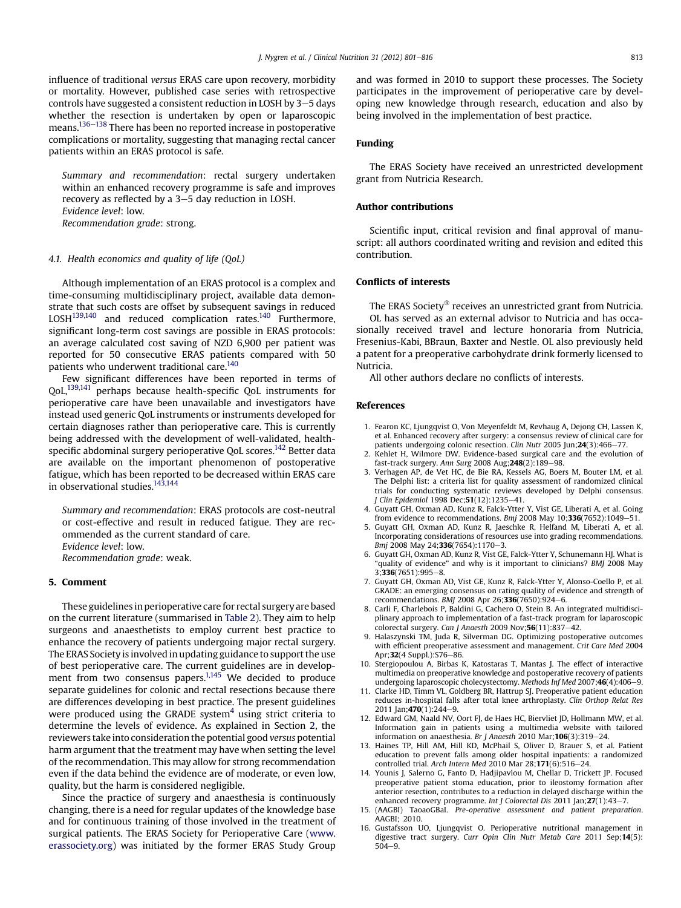<span id="page-12-0"></span>influence of traditional versus ERAS care upon recovery, morbidity or mortality. However, published case series with retrospective controls have suggested a consistent reduction in LOSH by  $3-5$  days whether the resection is undertaken by open or laparoscopic  $means$ <sup>136–[138](#page-15-0)</sup> There has been no reported increase in postoperative complications or mortality, suggesting that managing rectal cancer patients within an ERAS protocol is safe.

Summary and recommendation: rectal surgery undertaken within an enhanced recovery programme is safe and improves recovery as reflected by a  $3-5$  day reduction in LOSH. Evidence level: low. Recommendation grade: strong.

## 4.1. Health economics and quality of life (QoL)

Although implementation of an ERAS protocol is a complex and time-consuming multidisciplinary project, available data demonstrate that such costs are offset by subsequent savings in reduced  $LOSH<sup>139,140</sup>$  $LOSH<sup>139,140</sup>$  $LOSH<sup>139,140</sup>$  and reduced complication rates.<sup>[140](#page-15-0)</sup> Furthermore, significant long-term cost savings are possible in ERAS protocols: an average calculated cost saving of NZD 6,900 per patient was reported for 50 consecutive ERAS patients compared with 50 patients who underwent traditional care.<sup>[140](#page-15-0)</sup>

Few significant differences have been reported in terms of QoL[,139,141](#page-15-0) perhaps because health-specific QoL instruments for perioperative care have been unavailable and investigators have instead used generic QoL instruments or instruments developed for certain diagnoses rather than perioperative care. This is currently being addressed with the development of well-validated, healthspecific abdominal surgery perioperative QoL scores.<sup>142</sup> Better data are available on the important phenomenon of postoperative fatigue, which has been reported to be decreased within ERAS care in observational studies.<sup>[143,144](#page-15-0)</sup>

Summary and recommendation: ERAS protocols are cost-neutral or cost-effective and result in reduced fatigue. They are recommended as the current standard of care. Evidence level: low.

Recommendation grade: weak.

## 5. Comment

These guidelines in perioperative care for rectal surgery are based on the current literature (summarised in [Table 2\)](#page-3-0). They aim to help surgeons and anaesthetists to employ current best practice to enhance the recovery of patients undergoing major rectal surgery. The ERAS Society is involved in updating guidance to support the use of best perioperative care. The current guidelines are in development from two consensus papers.<sup>1,145</sup> We decided to produce separate guidelines for colonic and rectal resections because there are differences developing in best practice. The present guidelines were produced using the GRADE system $4$  using strict criteria to determine the levels of evidence. As explained in Section [2,](#page-1-0) the reviewers take into consideration the potential good versus potential harm argument that the treatment may have when setting the level of the recommendation. This may allow for strong recommendation even if the data behind the evidence are of moderate, or even low, quality, but the harm is considered negligible.

Since the practice of surgery and anaesthesia is continuously changing, there is a need for regular updates of the knowledge base and for continuous training of those involved in the treatment of surgical patients. The ERAS Society for Perioperative Care ([www.](http://www.erassociety.org) [erassociety.org](http://www.erassociety.org)) was initiated by the former ERAS Study Group

and was formed in 2010 to support these processes. The Society participates in the improvement of perioperative care by developing new knowledge through research, education and also by being involved in the implementation of best practice.

## Funding

The ERAS Society have received an unrestricted development grant from Nutricia Research.

# Author contributions

Scientific input, critical revision and final approval of manuscript: all authors coordinated writing and revision and edited this contribution.

# Conflicts of interests

The ERAS Society<sup>®</sup> receives an unrestricted grant from Nutricia. OL has served as an external advisor to Nutricia and has occasionally received travel and lecture honoraria from Nutricia, Fresenius-Kabi, BBraun, Baxter and Nestle. OL also previously held a patent for a preoperative carbohydrate drink formerly licensed to Nutricia.

All other authors declare no conflicts of interests.

#### References

- 1. Fearon KC, Ljungqvist O, Von Meyenfeldt M, Revhaug A, Dejong CH, Lassen K, et al. Enhanced recovery after surgery: a consensus review of clinical care for patients undergoing colonic resection. Clin Nutr 2005 Jun; 24(3): 466-77.
- Kehlet H, Wilmore DW. Evidence-based surgical care and the evolution of fast-track surgery. Ann Surg 2008 Aug; 248(2): 189-98.
- 3. Verhagen AP, de Vet HC, de Bie RA, Kessels AG, Boers M, Bouter LM, et al. The Delphi list: a criteria list for quality assessment of randomized clinical trials for conducting systematic reviews developed by Delphi consensus. J Clin Epidemiol 1998 Dec; 51(12): 1235-41.
- 4. Guyatt GH, Oxman AD, Kunz R, Falck-Ytter Y, Vist GE, Liberati A, et al. Going from evidence to recommendations. Bmj 2008 May  $10;336(7652):1049-51$ .
- 5. Guyatt GH, Oxman AD, Kunz R, Jaeschke R, Helfand M, Liberati A, et al. Incorporating considerations of resources use into grading recommendations. Bmj 2008 May 24;336(7654):1170-3.
- 6. Guyatt GH, Oxman AD, Kunz R, Vist GE, Falck-Ytter Y, Schunemann HJ. What is "quality of evidence" and why is it important to clinicians? BMJ 2008 May  $3:336(7651):995-8.$
- 7. Guyatt GH, Oxman AD, Vist GE, Kunz R, Falck-Ytter Y, Alonso-Coello P, et al. GRADE: an emerging consensus on rating quality of evidence and strength of recommendations. BMJ 2008 Apr 26;336(7650):924-6.
- 8. Carli F, Charlebois P, Baldini G, Cachero O, Stein B. An integrated multidisciplinary approach to implementation of a fast-track program for laparoscopic colorectal surgery. Can J Anaesth 2009 Nov;  $56(11)$ : 837-42.
- 9. Halaszynski TM, Juda R, Silverman DG. Optimizing postoperative outcomes with efficient preoperative assessment and management. Crit Care Med 2004 Apr; 32(4 Suppl.): S76-86.
- 10. Stergiopoulou A, Birbas K, Katostaras T, Mantas J. The effect of interactive multimedia on preoperative knowledge and postoperative recovery of patients undergoing laparoscopic cholecystectomy. Methods Inf Med 2007;46(4):406-9.
- 11. Clarke HD, Timm VL, Goldberg BR, Hattrup SJ. Preoperative patient education reduces in-hospital falls after total knee arthroplasty. Clin Orthop Relat Res 2011 Jan; 470(1): 244-9.
- 12. Edward GM, Naald NV, Oort FJ, de Haes HC, Biervliet JD, Hollmann MW, et al. Information gain in patients using a multimedia website with tailored information on anaesthesia. Br J Anaesth 2010 Mar;  $106(3)$ : 319-24.
- 13. Haines TP, Hill AM, Hill KD, McPhail S, Oliver D, Brauer S, et al. Patient education to prevent falls among older hospital inpatients: a randomized controlled trial. Arch Intern Med  $2010$  Mar  $28:171(6):516-24$ .
- 14. Younis J, Salerno G, Fanto D, Hadjipavlou M, Chellar D, Trickett JP. Focused preoperative patient stoma education, prior to ileostomy formation after anterior resection, contributes to a reduction in delayed discharge within the enhanced recovery programme. Int J Colorectal Dis 2011 Jan;  $27(1)$ : 43-7.
- 15. (AAGBI) TaoaoGBaI. Pre-operative assessment and patient preparation. AAGBI; 2010.
- 16. Gustafsson UO, Ljungqvist O. Perioperative nutritional management in digestive tract surgery. Curr Opin Clin Nutr Metab Care 2011 Sep;14(5):  $504 - 9.$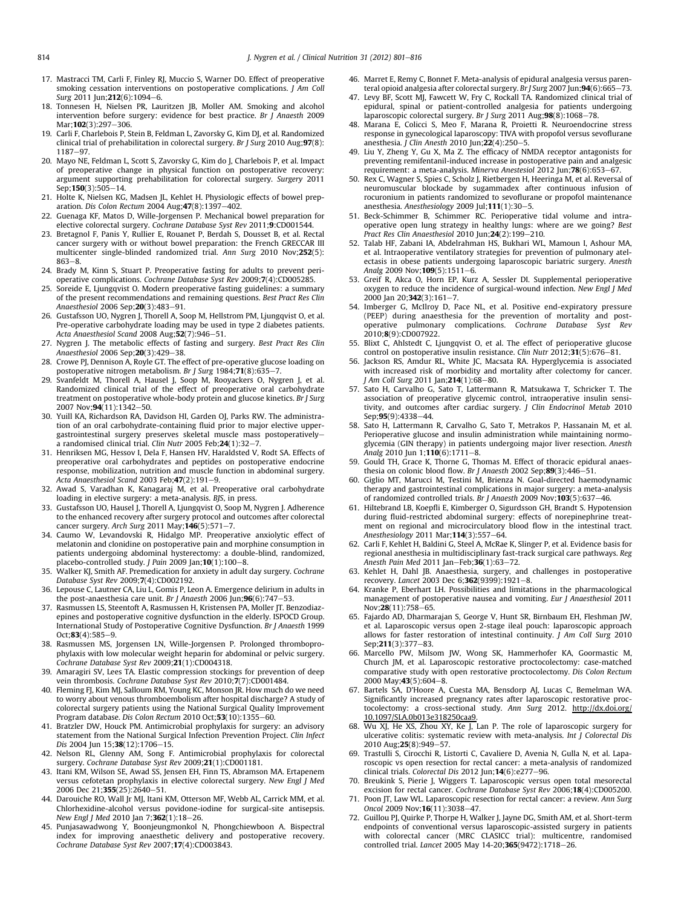- <span id="page-13-0"></span>17. Mastracci TM, Carli F, Finley RJ, Muccio S, Warner DO. Effect of preoperative smoking cessation interventions on postoperative complications. J Am Coll Surg 2011 Jun: 212(6): 1094-6.
- 18. Tonnesen H, Nielsen PR, Lauritzen JB, Moller AM. Smoking and alcohol intervention before surgery: evidence for best practice. Br J Anaesth 2009 Mar; 102(3): 297-306.
- 19. Carli F, Charlebois P, Stein B, Feldman L, Zavorsky G, Kim DJ, et al. Randomized clinical trial of prehabilitation in colorectal surgery. Br J Surg 2010 Aug;97(8): 1187-97
- 20. Mayo NE, Feldman L, Scott S, Zavorsky G, Kim do J, Charlebois P, et al. Impact of preoperative change in physical function on postoperative recovery: argument supporting prehabilitation for colorectal surgery. Surgery 2011  $Sen:150(3):505-14.$
- 21. Holte K, Nielsen KG, Madsen JL, Kehlet H. Physiologic effects of bowel preparation. Dis Colon Rectum 2004 Aug;47(8):1397-402.
- 22. Guenaga KF, Matos D, Wille-Jorgensen P. Mechanical bowel preparation for elective colorectal surgery. Cochrane Database Syst Rev 2011; $\dot{9}$ :CD001544.
- 23. Bretagnol F, Panis Y, Rullier E, Rouanet P, Berdah S, Dousset B, et al. Rectal cancer surgery with or without bowel preparation: the French GRECCAR III multicenter single-blinded randomized trial. Ann Surg 2010 Nov;252(5): 863-8
- 24. Brady M, Kinn S, Stuart P. Preoperative fasting for adults to prevent perioperative complications. Cochrane Database Syst Rev 2009;7(4):CD005285.
- 25. Soreide E, Ljungqvist O. Modern preoperative fasting guidelines: a summary of the present recommendations and remaining questions. Best Pract Res Clin Anaesthesiol 2006 Sep; 20(3): 483-91.
- 26. Gustafsson UO, Nygren J, Thorell A, Soop M, Hellstrom PM, Ljungqvist O, et al. Pre-operative carbohydrate loading may be used in type 2 diabetes patients. Acta Anaesthesiol Scand 2008 Aug;52(7):946-51.
- 27. Nygren J. The metabolic effects of fasting and surgery. Best Pract Res Clin Anaesthesiol 2006 Sep; 20(3): 429-38.
- 28. Crowe PJ, Dennison A, Royle GT. The effect of pre-operative glucose loading on postoperative nitrogen metabolism. Br J Surg 1984;**71**(8):635–7.<br>29. Svanfeldt M, Thorell A, Hausel J, Soop M, Rooyackers O, Nygren J, et al.
- Randomized clinical trial of the effect of preoperative oral carbohydrate treatment on postoperative whole-body protein and glucose kinetics. Br J Surg 2007 Nov; 94(11): 1342-50.
- 30. Yuill KA, Richardson RA, Davidson HI, Garden OJ, Parks RW. The administration of an oral carbohydrate-containing fluid prior to major elective uppergastrointestinal surgery preserves skeletal muscle mass postoperativelya randomised clinical trial. Clin Nutr 2005 Feb;24(1):32-7
- 31. Henriksen MG, Hessov I, Dela F, Hansen HV, Haraldsted V, Rodt SA. Effects of preoperative oral carbohydrates and peptides on postoperative endocrine response, mobilization, nutrition and muscle function in abdominal surgery. Acta Anaesthesiol Scand 2003 Feb;  $47(2)$ : 191-9.
- 32. Awad S, Varadhan K, Kanagaraj M, et al. Preoperative oral carbohydrate loading in elective surgery: a meta-analysis. BJS, in press.
- 33. Gustafsson UO, Hausel J, Thorell A, Ljungqvist O, Soop M, Nygren J. Adherence to the enhanced recovery after surgery protocol and outcomes after colorectal cancer surgery. Arch Surg 2011 May;  $146(5):571-7$ .
- 34. Caumo W, Levandovski R, Hidalgo MP. Preoperative anxiolytic effect of melatonin and clonidine on postoperative pain and morphine consumption in patients undergoing abdominal hysterectomy: a double-blind, randomized, placebo-controlled study. *J Pain* 2009 Jan;  $10(1)$ : 100–8.
- 35. Walker KJ, Smith AF. Premedication for anxiety in adult day surgery. Cochrane Database Syst Rev 2009;7(4):CD002192.
- 36. Lepouse C, Lautner CA, Liu L, Gomis P, Leon A. Emergence delirium in adults in the post-anaesthesia care unit. Br J Anaesth 2006 Jun;  $96(6)$ : 747-53.
- 37. Rasmussen LS, Steentoft A, Rasmussen H, Kristensen PA, Moller JT. Benzodiazepines and postoperative cognitive dysfunction in the elderly. ISPOCD Group. International Study of Postoperative Cognitive Dysfunction. Br J Anaesth 1999 Oct:  $83(4):585-9$
- 38. Rasmussen MS, Jorgensen LN, Wille-Jorgensen P. Prolonged thromboprophylaxis with low molecular weight heparin for abdominal or pelvic surgery. Cochrane Database Syst Rev 2009;21(1):CD004318.
- 39. Amaragiri SV, Lees TA. Elastic compression stockings for prevention of deep vein thrombosis. Cochrane Database Syst Rev 2010;7(7):CD001484.
- 40. Fleming FJ, Kim MJ, Salloum RM, Young KC, Monson JR. How much do we need to worry about venous thromboembolism after hospital discharge? A study of colorectal surgery patients using the National Surgical Quality Improvement Program database. Dis Colon Rectum 2010 Oct;53(10):1355-60.
- 41. Bratzler DW, Houck PM. Antimicrobial prophylaxis for surgery: an advisory statement from the National Surgical Infection Prevention Project. Clin Infect Dis 2004 Jun 15;38(12):1706-15.
- 42. Nelson RL, Glenny AM, Song F. Antimicrobial prophylaxis for colorectal surgery. Cochrane Database Syst Rev 2009;21(1):CD001181.
- 43. Itani KM, Wilson SE, Awad SS, Jensen EH, Finn TS, Abramson MA. Ertapenem versus cefotetan prophylaxis in elective colorectal surgery. New Engl J Med 2006 Dec 21;355(25):2640-51.
- 44. Darouiche RO, Wall Jr MJ, Itani KM, Otterson MF, Webb AL, Carrick MM, et al. Chlorhexidine-alcohol versus povidone-iodine for surgical-site antisepsis. New Engl J Med 2010 Jan 7;362(1):18-26.
- 45. Punjasawadwong Y, Boonjeungmonkol N, Phongchiewboon A. Bispectral index for improving anaesthetic delivery and postoperative recovery. Cochrane Database Syst Rev 2007;17(4):CD003843.
- 46. Marret E, Remy C, Bonnet F. Meta-analysis of epidural analgesia versus parenteral opioid analgesia after colorectal surgery. Br  $I$  Surg 2007 Jun:  $94(6)$ :665-73.
- 47. Levy BF, Scott MJ, Fawcett W, Fry C, Rockall TA. Randomized clinical trial of epidural, spinal or patient-controlled analgesia for patients undergoing laparoscopic colorectal surgery. Br J Surg 2011 Aug;  $98(8)$ : 1068-78.
- 48. Marana E, Colicci S, Meo F, Marana R, Proietti R. Neuroendocrine stress response in gynecological laparoscopy: TIVA with propofol versus sevoflurane anesthesia. *J Clin Anesth* 2010 Jun: $22(4)$ : 250-5.
- 49. Liu Y, Zheng Y, Gu X, Ma Z. The efficacy of NMDA receptor antagonists for preventing remifentanil-induced increase in postoperative pain and analgesic requirement: a meta-analysis. Minerva Anestesiol 2012 Jun:78(6):653–67.
- 50. Rex C, Wagner S, Spies C, Scholz J, Rietbergen H, Heeringa M, et al. Reversal of neuromuscular blockade by sugammadex after continuous infusion of rocuronium in patients randomized to sevoflurane or propofol maintenance anesthesia. Anesthesiology 2009  $|ul;111(1):30-5$ .
- 51. Beck-Schimmer B, Schimmer RC. Perioperative tidal volume and intraoperative open lung strategy in healthy lungs: where are we going? Best Pract Res Clin Anaesthesiol 2010 Jun;  $24(2)$ : 199-210.
- 52. Talab HF, Zabani IA, Abdelrahman HS, Bukhari WL, Mamoun I, Ashour MA, et al. Intraoperative ventilatory strategies for prevention of pulmonary atelectasis in obese patients undergoing laparoscopic bariatric surgery. Anesth Analg 2009 Nov; 109(5): 1511-6.
- 53. Greif R, Akca O, Horn EP, Kurz A, Sessler DI. Supplemental perioperative oxygen to reduce the incidence of surgical-wound infection. New Engl J Med 2000 Jan 20;342(3):161-7.
- 54. Imberger G, McIlroy D, Pace NL, et al. Positive end-expiratory pressure (PEEP) during anaesthesia for the prevention of mortality and postoperative pulmonary complications. Cochrane Database Syst Rev 2010;8(9):CD007922.
- 55. Blixt C, Ahlstedt C, Ljungqvist O, et al. The effect of perioperative glucose control on postoperative insulin resistance. Clin Nutr  $2012; 31(5):676-81$ .
- 56. Jackson RS, Amdur RL, White JC, Macsata RA. Hyperglycemia is associated with increased risk of morbidity and mortality after colectomy for cancer. J Am Coll Surg 2011 Jan; 214(1):68-80.
- 57. Sato H, Carvalho G, Sato T, Lattermann R, Matsukawa T, Schricker T. The association of preoperative glycemic control, intraoperative insulin sensitivity, and outcomes after cardiac surgery. J Clin Endocrinol Metab 2010 Sep; 95(9): 4338-44.
- 58. Sato H, Lattermann R, Carvalho G, Sato T, Metrakos P, Hassanain M, et al. Perioperative glucose and insulin administration while maintaining normoglycemia (GIN therapy) in patients undergoing major liver resection. Anesth Analg 2010 Jun 1;110(6):1711-8.
- 59. Gould TH, Grace K, Thorne G, Thomas M. Effect of thoracic epidural anaesthesia on colonic blood flow. Br J Anaesth 2002 Sep; $89(3):446-51$ .
- 60. Giglio MT, Marucci M, Testini M, Brienza N. Goal-directed haemodynamic therapy and gastrointestinal complications in major surgery: a meta-analysis of randomized controlled trials. Br J Anaesth 2009 Nov;  $103(5):637-46$ .
- 61. Hiltebrand LB, Koepfli E, Kimberger O, Sigurdsson GH, Brandt S. Hypotension during fluid-restricted abdominal surgery: effects of norepinephrine treatment on regional and microcirculatory blood flow in the intestinal tract. Anesthesiology 2011 Mar; 114(3): 557-64.
- 62. Carli F, Kehlet H, Baldini G, Steel A, McRae K, Slinger P, et al. Evidence basis for regional anesthesia in multidisciplinary fast-track surgical care pathways. Reg Anesth Pain Med 2011 Jan-Feb;  $36(1)$ : 63-72.
- 63. Kehlet H, Dahl JB. Anaesthesia, surgery, and challenges in postoperative recovery. Lancet 2003 Dec 6;362(9399):1921-8.
- Kranke P, Eberhart LH. Possibilities and limitations in the pharmacological management of postoperative nausea and vomiting. Eur J Anaesthesiol 2011 Nov; 28(11): 758-65.
- 65. Fajardo AD, Dharmarajan S, George V, Hunt SR, Birnbaum EH, Fleshman JW, et al. Laparoscopic versus open 2-stage ileal pouch: laparoscopic approach allows for faster restoration of intestinal continuity.  $\hat{J}$  Am Coll Surg 2010 Sep; 211(3): 377-83.
- 66. Marcello PW, Milsom JW, Wong SK, Hammerhofer KA, Goormastic M, Church JM, et al. Laparoscopic restorative proctocolectomy: case-matched comparative study with open restorative proctocolectomy. Dis Colon Rectum 2000 May; 43(5): 604-8.
- 67. Bartels SA, D'Hoore A, Cuesta MA, Bensdorp AJ, Lucas C, Bemelman WA. Significantly increased pregnancy rates after laparoscopic restorative proctocolectomy: a cross-sectional study. Ann Surg 2012. http://dx.doi.org/ 10.1097/SLA.0b013e318250caa9.
- 68. Wu XJ, He XS, Zhou XY, Ke J, Lan P. The role of laparoscopic surgery for ulcerative colitis: systematic review with meta-analysis. Int J Colorectal Dis 2010 Aug; 25(8): 949-57.
- 69. Trastulli S, Cirocchi R, Listorti C, Cavaliere D, Avenia N, Gulla N, et al. Laparoscopic vs open resection for rectal cancer: a meta-analysis of randomized clinical trials. Colorectal Dis 2012 Jun;  $14(6)$ :e277-96.
- 70. Breukink S, Pierie J, Wiggers T. Laparoscopic versus open total mesorectal excision for rectal cancer. Cochrane Database Syst Rev 2006;18(4):CD005200.
- 71. Poon JT, Law WL. Laparoscopic resection for rectal cancer: a review. Ann Surg Oncol 2009 Nov;  $16(11)$ : 3038-47.
- 72. Guillou PJ, Quirke P, Thorpe H, Walker J, Jayne DG, Smith AM, et al. Short-term endpoints of conventional versus laparoscopic-assisted surgery in patients with colorectal cancer (MRC CLASICC trial): multicentre, randomised controlled trial. Lancet 2005 May 14-20;365(9472):1718-26.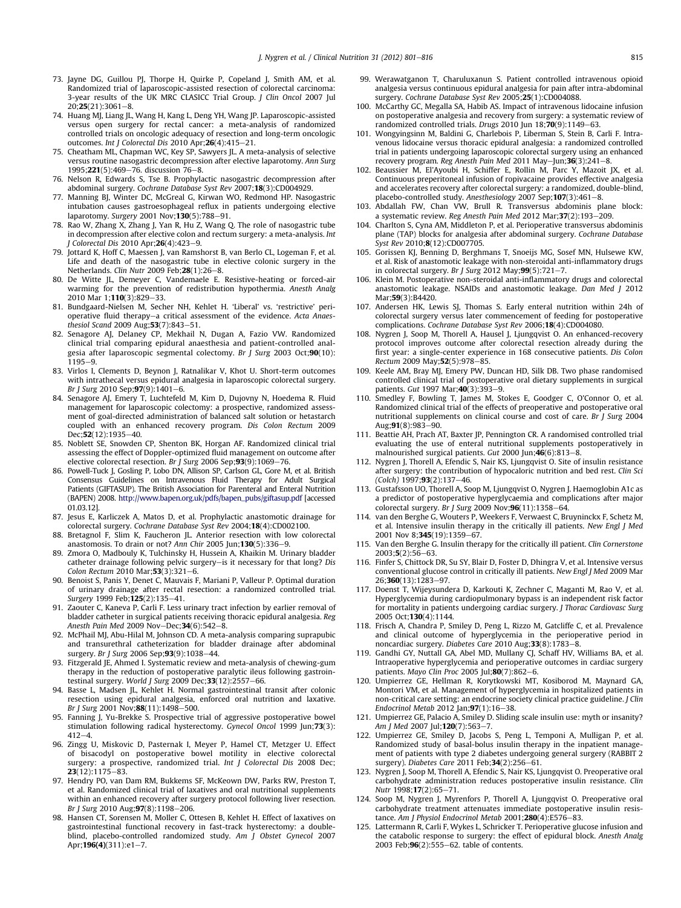- <span id="page-14-0"></span>73. Jayne DG, Guillou PJ, Thorpe H, Quirke P, Copeland J, Smith AM, et al. Randomized trial of laparoscopic-assisted resection of colorectal carcinoma: 3-year results of the UK MRC CLASICC Trial Group. J Clin Oncol 2007 Jul  $20;25(21):3061-8.$
- 74. Huang MJ, Liang JL, Wang H, Kang L, Deng YH, Wang JP. Laparoscopic-assisted versus open surgery for rectal cancer: a meta-analysis of randomized controlled trials on oncologic adequacy of resection and long-term oncologic outcomes. Int J Colorectal Dis 2010 Apr;  $26(4):415-21$ .
- 75. Cheatham ML, Chapman WC, Key SP, Sawyers JL. A meta-analysis of selective versus routine nasogastric decompression after elective laparotomy. Ann Surg 1995:221(5):469-76. discussion 76-8.
- 76. Nelson R, Edwards S, Tse B. Prophylactic nasogastric decompression after abdominal surgery. Cochrane Database Syst Rev 2007;18(3):CD004929.
- 77. Manning BJ, Winter DC, McGreal G, Kirwan WO, Redmond HP. Nasogastric intubation causes gastroesophageal reflux in patients undergoing elective laparotomy. Surgery 2001 Nov:  $130(5)$ : 788-91.
- 78. Rao W, Zhang X, Zhang J, Yan R, Hu Z, Wang Q. The role of nasogastric tube in decompression after elective colon and rectum surgery: a meta-analysis. Int I Colorectal Dis 2010 Apr: 26(4): 423-9.
- 79. Jottard K, Hoff C, Maessen J, van Ramshorst B, van Berlo CL, Logeman F, et al. Life and death of the nasogastric tube in elective colonic surgery in the Netherlands. Clin Nutr 2009 Feb; $28(1):26-8$ .
- 80. De Witte JL, Demeyer C, Vandemaele E. Resistive-heating or forced-air warming for the prevention of redistribution hypothermia. Anesth Analg 2010 Mar 1;110(3):829-33.
- 81. Bundgaard-Nielsen M, Secher NH, Kehlet H. 'Liberal' vs. 'restrictive' perioperative fluid therapy-a critical assessment of the evidence. Acta Anaesthesiol Scand 2009 Aug;53(7):843-51.
- 82. Senagore AJ, Delaney CP, Mekhail N, Dugan A, Fazio VW. Randomized clinical trial comparing epidural anaesthesia and patient-controlled analgesia after laparoscopic segmental colectomy. Br J Surg 2003 Oct;90(10):  $1195 - 9$
- 83. Virlos I, Clements D, Beynon J, Ratnalikar V, Khot U. Short-term outcomes with intrathecal versus epidural analgesia in laparoscopic colorectal surgery. Br J Surg 2010 Sep; 97(9): 1401-6.
- 84. Senagore AJ, Emery T, Luchtefeld M, Kim D, Dujovny N, Hoedema R. Fluid management for laparoscopic colectomy: a prospective, randomized assessment of goal-directed administration of balanced salt solution or hetastarch coupled with an enhanced recovery program. Dis Colon Rectum 2009 Dec: 52(12): 1935-40.
- 85. Noblett SE, Snowden CP, Shenton BK, Horgan AF. Randomized clinical trial assessing the effect of Doppler-optimized fluid management on outcome after elective colorectal resection. Br J Surg 2006 Sep;  $93(9)$ : 1069-76.
- 86. Powell-Tuck J, Gosling P, Lobo DN, Allison SP, Carlson GL, Gore M, et al. British Consensus Guidelines on Intravenous Fluid Therapy for Adult Surgical Patients (GIFTASUP). The British Association for Parenteral and Enteral Nutrition (BAPEN) 2008. [http://www.bapen.org.uk/pdfs/bapen\\_pubs/giftasup.pdf](http://www.bapen.org.uk/pdfs/bapen_pubs/giftasup.pdf) [accessed  $01.03.12$ ].
- 87. Jesus E, Karliczek A, Matos D, et al. Prophylactic anastomotic drainage for colorectal surgery. Cochrane Database Syst Rev 2004;18(4):CD002100.
- 88. Bretagnol F, Slim K, Faucheron JL. Anterior resection with low colorectal anastomosis. To drain or not? Ann Chir 2005 Jun;130(5):336-9.
- 89. Zmora O, Madbouly K, Tulchinsky H, Hussein A, Khaikin M. Urinary bladder catheter drainage following pelvic surgery-is it necessary for that long? Dis Colon Rectum 2010 Mar;  $53(3)$ : 321-6.
- 90. Benoist S, Panis Y, Denet C, Mauvais F, Mariani P, Valleur P. Optimal duration of urinary drainage after rectal resection: a randomized controlled trial. Surgery 1999 Feb;125(2):135-41.
- 91. Zaouter C, Kaneva P, Carli F. Less urinary tract infection by earlier removal of bladder catheter in surgical patients receiving thoracic epidural analgesia. Reg Anesth Pain Med 2009 Nov-Dec; 34(6): 542-8.
- 92. McPhail MJ, Abu-Hilal M, Johnson CD. A meta-analysis comparing suprapubic and transurethral catheterization for bladder drainage after abdominal surgery. Br J Surg 2006 Sep; 93(9): 1038-44.
- 93. Fitzgerald JE, Ahmed I. Systematic review and meta-analysis of chewing-gum therapy in the reduction of postoperative paralytic ileus following gastrointestinal surgery. World J Surg 2009 Dec; 33(12): 2557-66.
- 94. Basse L, Madsen JL, Kehlet H. Normal gastrointestinal transit after colonic resection using epidural analgesia, enforced oral nutrition and laxative. Br J Surg 2001 Nov; 88(11): 1498-500.
- 95. Fanning J, Yu-Brekke S. Prospective trial of aggressive postoperative bowel stimulation following radical hysterectomy. Gynecol Oncol 1999 Jun;73(3):  $412 - 4.$
- 96. Zingg U, Miskovic D, Pasternak I, Meyer P, Hamel CT, Metzger U. Effect of bisacodyl on postoperative bowel motility in elective colorectal surgery: a prospective, randomized trial. Int J Colorectal Dis 2008 Dec;  $23(12):1175-83.$
- 97. Hendry PO, van Dam RM, Bukkems SF, McKeown DW, Parks RW, Preston T, et al. Randomized clinical trial of laxatives and oral nutritional supplements within an enhanced recovery after surgery protocol following liver resection. Br J Surg 2010 Aug; 97(8): 1198-206.
- 98. Hansen CT, Sorensen M, Moller C, Ottesen B, Kehlet H. Effect of laxatives on gastrointestinal functional recovery in fast-track hysterectomy: a doubleblind, placebo-controlled randomized study. Am J Obstet Gynecol 2007 Apr;  $196(4)(311)$ :  $e1-7$ .
- 99. Werawatganon T, Charuluxanun S. Patient controlled intravenous opioid analgesia versus continuous epidural analgesia for pain after intra-abdominal surgery. Cochrane Database Syst Rev 2005;25(1):CD004088.
- 100. McCarthy GC, Megalla SA, Habib AS. Impact of intravenous lidocaine infusion on postoperative analgesia and recovery from surgery: a systematic review of randomized controlled trials. Drugs 2010 Jun 18;70(9):1149-63.
- 101. Wongyingsinn M, Baldini G, Charlebois P, Liberman S, Stein B, Carli F. Intravenous lidocaine versus thoracic epidural analgesia: a randomized controlled trial in patients undergoing laparoscopic colorectal surgery using an enhanced recovery program. Reg Anesth Pain Med 2011 May-Jun; $36(3)$ :241-8.
- 102. Beaussier M, El'Ayoubi H, Schiffer E, Rollin M, Parc Y, Mazoit JX, et al. Continuous preperitoneal infusion of ropivacaine provides effective analgesia and accelerates recovery after colorectal surgery: a randomized, double-blind, placebo-controlled study. Anesthesiology 2007 Sep;  $107(3):461-8$ .
- 103. Abdallah FW, Chan VW, Brull R. Transversus abdominis plane block: a systematic review. Reg Anesth Pain Med 2012 Mar:  $37(2):193-209$ .
- 104. Charlton S, Cyna AM, Middleton P, et al. Perioperative transversus abdominis plane (TAP) blocks for analgesia after abdominal surgery. Cochrane Database Syst Rev 2010; 8(12): CD007705.
- 105. Gorissen KJ, Benning D, Berghmans T, Snoeijs MG, Sosef MN, Hulsewe KW, et al. Risk of anastomotic leakage with non-steroidal anti-inflammatory drugs in colorectal surgery. Br J Surg 2012 May;  $99(5)$ : 721-7.
- 106. Klein M. Postoperative non-steroidal anti-inflammatory drugs and colorectal anastomotic leakage. NSAIDs and anastomotic leakage. Dan Med J 2012 Mar;59(3):B4420.
- 107. Andersen HK, Lewis SJ, Thomas S. Early enteral nutrition within 24h of colorectal surgery versus later commencement of feeding for postoperative complications. Cochrane Database Syst Rev 2006;18(4):CD004080.
- 108. Nygren J, Soop M, Thorell A, Hausel J, Ljungqvist O. An enhanced-recovery protocol improves outcome after colorectal resection already during the first year: a single-center experience in 168 consecutive patients. Dis Colon Rectum 2009 May; 52(5): 978-85.
- 109. Keele AM, Bray MJ, Emery PW, Duncan HD, Silk DB. Two phase randomised controlled clinical trial of postoperative oral dietary supplements in surgical patients. Gut 1997 Mar; 40(3): 393-9.
- 110. Smedley F, Bowling T, James M, Stokes E, Goodger C, O'Connor O, et al. Randomized clinical trial of the effects of preoperative and postoperative oral nutritional supplements on clinical course and cost of care. Br J Surg 2004 Aug;  $91(8)$ :  $983 - 90$ .
- 111. Beattie AH, Prach AT, Baxter JP, Pennington CR. A randomised controlled trial evaluating the use of enteral nutritional supplements postoperatively in malnourished surgical patients. Gut 2000 Jun;  $46(6)$ : 813-8.
- 112. Nygren J, Thorell A, Efendic S, Nair KS, Ljungqvist O. Site of insulin resistance after surgery: the contribution of hypocaloric nutrition and bed rest. Clin Sci  $(Colch)$  1997:93(2):137-46.
- 113. Gustafsson UO, Thorell A, Soop M, Ljungqvist O, Nygren J. Haemoglobin A1c as a predictor of postoperative hyperglycaemia and complications after major colorectal surgery. Br J Surg 2009 Nov;  $96(11)$ : 1358-64.
- 114. van den Berghe G, Wouters P, Weekers F, Verwaest C, Bruyninckx F, Schetz M, et al. Intensive insulin therapy in the critically ill patients. New Engl J Med 2001 Nov 8;345(19):1359-67.
- 115. Van den Berghe G. Insulin therapy for the critically ill patient. Clin Cornerstone  $2003; 5(2): 56 - 63.$
- 116. Finfer S, Chittock DR, Su SY, Blair D, Foster D, Dhingra V, et al. Intensive versus conventional glucose control in critically ill patients. New Engl J Med 2009 Mar 26;360(13):1283-97.
- 117. Doenst T, Wijeysundera D, Karkouti K, Zechner C, Maganti M, Rao V, et al. Hyperglycemia during cardiopulmonary bypass is an independent risk factor for mortality in patients undergoing cardiac surgery. J Thorac Cardiovasc Surg 2005 Oct;130(4):1144.
- 118. Frisch A, Chandra P, Smiley D, Peng L, Rizzo M, Gatcliffe C, et al. Prevalence and clinical outcome of hyperglycemia in the perioperative period in noncardiac surgery. Diabetes Care 2010 Aug;33(8):1783-8.
- 119. Gandhi GY, Nuttall GA, Abel MD, Mullany CJ, Schaff HV, Williams BA, et al. Intraoperative hyperglycemia and perioperative outcomes in cardiac surgery patients. Mayo Clin Proc 2005 Jul;  $80(7)$ : 862-6.
- 120. Umpierrez GE, Hellman R, Korytkowski MT, Kosiborod M, Maynard GA, Montori VM, et al. Management of hyperglycemia in hospitalized patients in non-critical care setting: an endocrine society clinical practice guideline. J Clin Endocrinol Metab 2012 Jan; $97(1)$ :16-38.
- 121. Umpierrez GE, Palacio A, Smiley D. Sliding scale insulin use: myth or insanity? Am  $\tilde{j}$  Med 2007 Jul; 120(7): 563-7.
- 122. Umpierrez GE, Smiley D, Jacobs S, Peng L, Temponi A, Mulligan P, et al. Randomized study of basal-bolus insulin therapy in the inpatient management of patients with type 2 diabetes undergoing general surgery (RABBIT 2 surgery). Diabetes Care 2011 Feb; 34(2): 256-61.
- 123. Nygren J, Soop M, Thorell A, Efendic S, Nair KS, Ljungqvist O. Preoperative oral carbohydrate administration reduces postoperative insulin resistance. Clin Nutr 1998:17(2):65-71.
- 124. Soop M, Nygren J, Myrenfors P, Thorell A, Ljungqvist O. Preoperative oral carbohydrate treatment attenuates immediate postoperative insulin resistance. Am J Physiol Endocrinol Metab 2001;280(4):E576-83.
- 125. Lattermann R, Carli F, Wykes L, Schricker T. Perioperative glucose infusion and the catabolic response to surgery: the effect of epidural block. Anesth Analg 2003 Feb; $96(2)$ :555-62. table of contents.